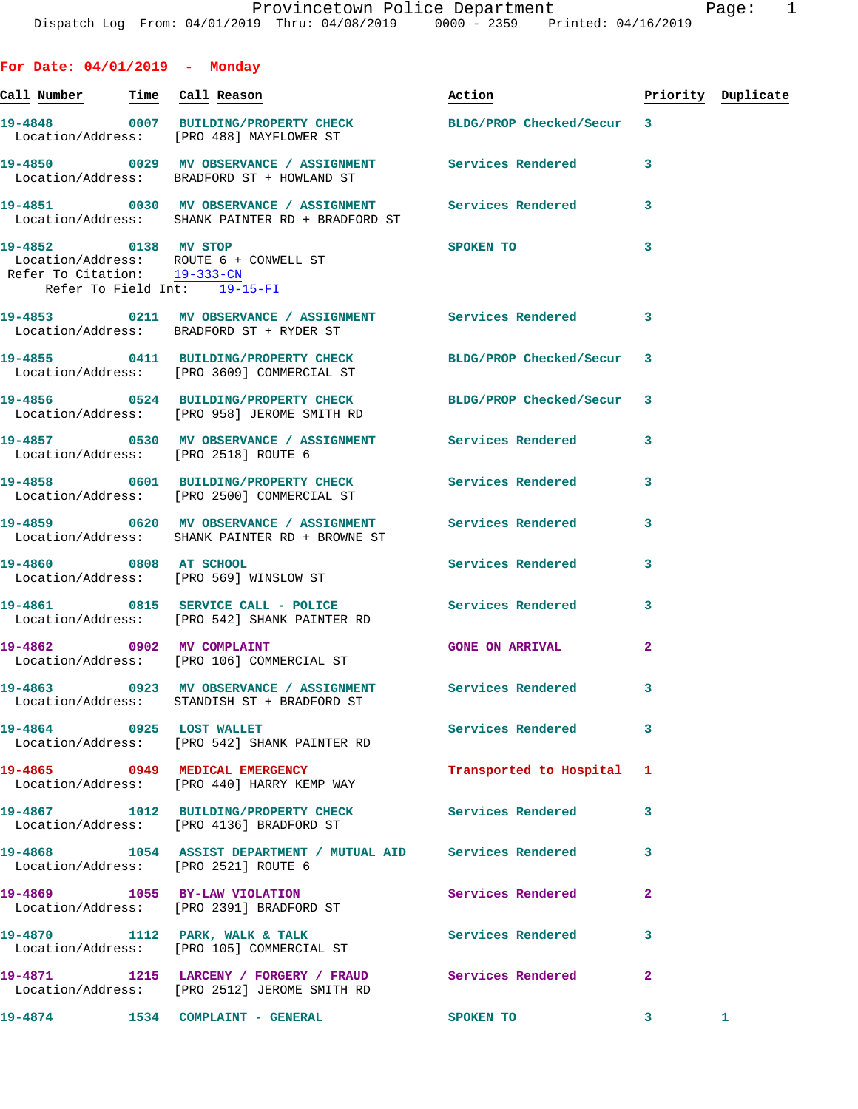| For Date: $04/01/2019$ - Monday                              |                                                                                                               |                                                                                                                                                                                                                                |                |                    |
|--------------------------------------------------------------|---------------------------------------------------------------------------------------------------------------|--------------------------------------------------------------------------------------------------------------------------------------------------------------------------------------------------------------------------------|----------------|--------------------|
| <u>Call Number — Time Call Reason</u>                        |                                                                                                               | Action and the set of the set of the set of the set of the set of the set of the set of the set of the set of the set of the set of the set of the set of the set of the set of the set of the set of the set of the set of th |                | Priority Duplicate |
|                                                              | 19-4848 0007 BUILDING/PROPERTY CHECK BLDG/PROP Checked/Secur 3<br>Location/Address: [PRO 488] MAYFLOWER ST    |                                                                                                                                                                                                                                |                |                    |
|                                                              | 19-4850 0029 MV OBSERVANCE / ASSIGNMENT Services Rendered<br>Location/Address: BRADFORD ST + HOWLAND ST       |                                                                                                                                                                                                                                | 3              |                    |
|                                                              | 19-4851 0030 MV OBSERVANCE / ASSIGNMENT Services Rendered<br>Location/Address: SHANK PAINTER RD + BRADFORD ST |                                                                                                                                                                                                                                | 3              |                    |
| Refer To Citation: 19-333-CN<br>Refer To Field Int: 19-15-FI | 19-4852 0138 MV STOP<br>Location/Address: ROUTE 6 + CONWELL ST                                                | SPOKEN TO                                                                                                                                                                                                                      | 3              |                    |
|                                                              | 19-4853 0211 MV OBSERVANCE / ASSIGNMENT Services Rendered 3<br>Location/Address: BRADFORD ST + RYDER ST       |                                                                                                                                                                                                                                |                |                    |
|                                                              | 19-4855 0411 BUILDING/PROPERTY CHECK BLDG/PROP Checked/Secur<br>Location/Address: [PRO 3609] COMMERCIAL ST    |                                                                                                                                                                                                                                | -3             |                    |
|                                                              | 19-4856 0524 BUILDING/PROPERTY CHECK BLDG/PROP Checked/Secur<br>Location/Address: [PRO 958] JEROME SMITH RD   |                                                                                                                                                                                                                                | 3              |                    |
|                                                              | 19-4857 6530 MV OBSERVANCE / ASSIGNMENT Services Rendered<br>Location/Address: [PRO 2518] ROUTE 6             |                                                                                                                                                                                                                                | 3              |                    |
|                                                              | 19-4858 0601 BUILDING/PROPERTY CHECK Services Rendered<br>Location/Address: [PRO 2500] COMMERCIAL ST          |                                                                                                                                                                                                                                | 3              |                    |
|                                                              | 19-4859 6620 MV OBSERVANCE / ASSIGNMENT Services Rendered<br>Location/Address: SHANK PAINTER RD + BROWNE ST   |                                                                                                                                                                                                                                | 3              |                    |
|                                                              | 19-4860 0808 AT SCHOOL<br>Location/Address: [PRO 569] WINSLOW ST                                              | Services Rendered                                                                                                                                                                                                              | 3              |                    |
|                                                              | 19-4861 0815 SERVICE CALL - POLICE<br>Location/Address: [PRO 542] SHANK PAINTER RD                            | <b>Services Rendered</b>                                                                                                                                                                                                       | 3              |                    |
|                                                              | 19-4862 0902 MV COMPLAINT<br>Location/Address: [PRO 106] COMMERCIAL ST                                        | <b>GONE ON ARRIVAL</b>                                                                                                                                                                                                         | $\overline{a}$ |                    |
|                                                              | Location/Address: STANDISH ST + BRADFORD ST                                                                   |                                                                                                                                                                                                                                |                |                    |
| 19-4864 0925 LOST WALLET                                     | Location/Address: [PRO 542] SHANK PAINTER RD                                                                  | Services Rendered                                                                                                                                                                                                              | 3              |                    |
|                                                              | 19-4865 0949 MEDICAL EMERGENCY<br>Location/Address: [PRO 440] HARRY KEMP WAY                                  | Transported to Hospital 1                                                                                                                                                                                                      |                |                    |
|                                                              | 19-4867 1012 BUILDING/PROPERTY CHECK Services Rendered<br>Location/Address: [PRO 4136] BRADFORD ST            |                                                                                                                                                                                                                                | 3              |                    |
|                                                              | 19-4868 1054 ASSIST DEPARTMENT / MUTUAL AID Services Rendered<br>Location/Address: [PRO 2521] ROUTE 6         |                                                                                                                                                                                                                                | 3              |                    |
|                                                              | 19-4869 1055 BY-LAW VIOLATION<br>Location/Address: [PRO 2391] BRADFORD ST                                     | Services Rendered                                                                                                                                                                                                              | $\mathbf{2}$   |                    |
|                                                              | 19-4870 1112 PARK, WALK & TALK<br>Location/Address: [PRO 105] COMMERCIAL ST                                   | Services Rendered                                                                                                                                                                                                              | 3              |                    |
|                                                              | 19-4871 1215 LARCENY / FORGERY / FRAUD Services Rendered<br>Location/Address: [PRO 2512] JEROME SMITH RD      |                                                                                                                                                                                                                                | $\mathbf{2}$   |                    |
|                                                              | 19-4874 1534 COMPLAINT - GENERAL                                                                              | <b>SPOKEN TO</b>                                                                                                                                                                                                               | $\mathbf{3}$   | $\mathbf{1}$       |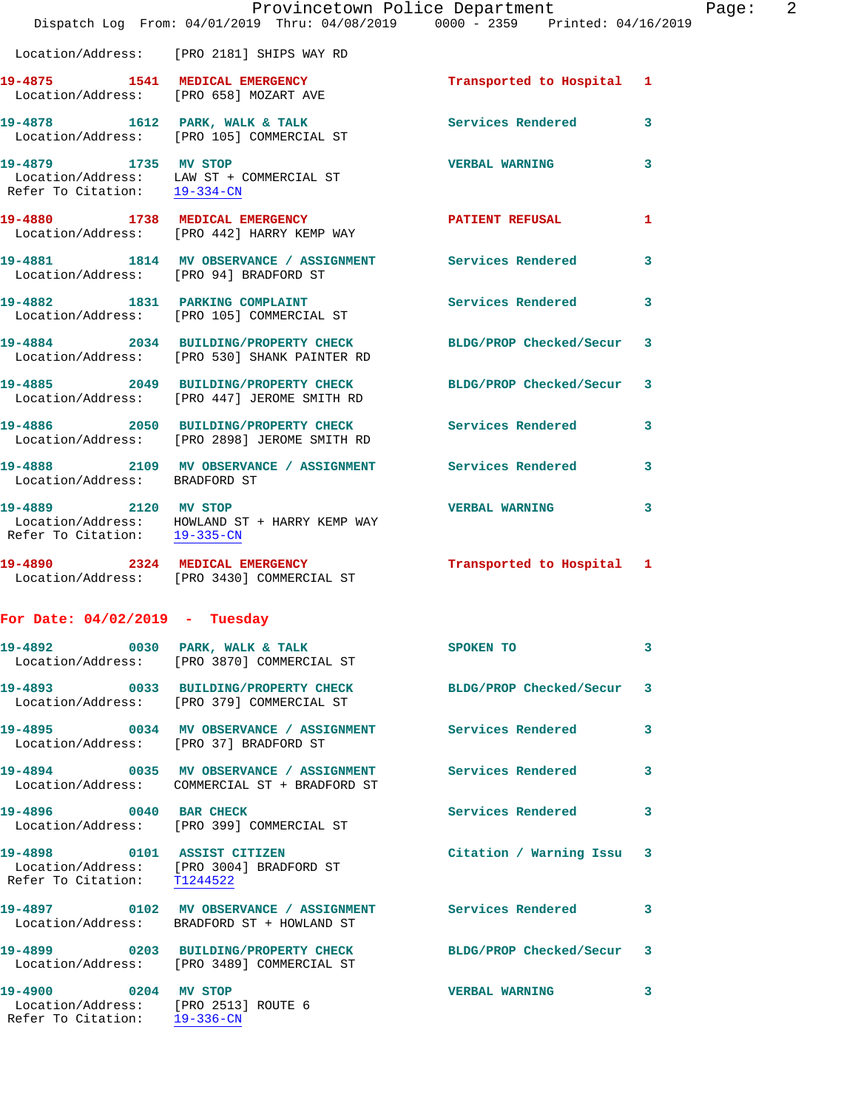|                                                                                              | Provincetown Police Department                                                                            |                           |   |
|----------------------------------------------------------------------------------------------|-----------------------------------------------------------------------------------------------------------|---------------------------|---|
|                                                                                              | Dispatch Log From: 04/01/2019 Thru: 04/08/2019 0000 - 2359 Printed: 04/16/2019                            |                           |   |
|                                                                                              | Location/Address: [PRO 2181] SHIPS WAY RD                                                                 |                           |   |
| 19-4875 1541 MEDICAL EMERGENCY                                                               | Location/Address: [PRO 658] MOZART AVE                                                                    | Transported to Hospital   | 1 |
|                                                                                              | 19-4878 1612 PARK, WALK & TALK<br>Location/Address: [PRO 105] COMMERCIAL ST                               | <b>Services Rendered</b>  | 3 |
| 19-4879 1735 MV STOP                                                                         | Location/Address: LAW ST + COMMERCIAL ST<br>Refer To Citation: $\frac{19-334-CN}{29-338C}$                | <b>VERBAL WARNING</b>     | 3 |
|                                                                                              | 19-4880 1738 MEDICAL EMERGENCY<br>Location/Address: [PRO 442] HARRY KEMP WAY                              | <b>PATIENT REFUSAL</b>    | 1 |
| Location/Address: [PRO 94] BRADFORD ST                                                       | 19-4881 1814 MV OBSERVANCE / ASSIGNMENT Services Rendered                                                 |                           | 3 |
|                                                                                              | 19-4882 1831 PARKING COMPLAINT<br>Location/Address: [PRO 105] COMMERCIAL ST                               | Services Rendered         | 3 |
|                                                                                              | 19-4884 2034 BUILDING/PROPERTY CHECK<br>Location/Address: [PRO 530] SHANK PAINTER RD                      | BLDG/PROP Checked/Secur   | 3 |
|                                                                                              | 19-4885 2049 BUILDING/PROPERTY CHECK<br>Location/Address: [PRO 447] JEROME SMITH RD                       | BLDG/PROP Checked/Secur   | 3 |
|                                                                                              | 19-4886 2050 BUILDING/PROPERTY CHECK<br>Location/Address: [PRO 2898] JEROME SMITH RD                      | <b>Services Rendered</b>  | 3 |
| Location/Address: BRADFORD ST                                                                | 19-4888 2109 MV OBSERVANCE / ASSIGNMENT Services Rendered                                                 |                           | 3 |
| 19-4889 2120 MV STOP                                                                         | Location/Address: HOWLAND ST + HARRY KEMP WAY<br>Refer To Citation: $\frac{19-335-CN}{19-335-CN}$         | <b>VERBAL WARNING</b>     | 3 |
|                                                                                              | 19-4890 2324 MEDICAL EMERGENCY<br>Location/Address: [PRO 3430] COMMERCIAL ST                              | Transported to Hospital 1 |   |
| For Date: $04/02/2019$ - Tuesday                                                             |                                                                                                           |                           |   |
|                                                                                              | 19-4892 0030 PARK, WALK & TALK<br>Location/Address: [PRO 3870] COMMERCIAL ST                              | SPOKEN TO                 | 3 |
|                                                                                              | 19-4893 0033 BUILDING/PROPERTY CHECK BLDG/PROP Checked/Secur<br>Location/Address: [PRO 379] COMMERCIAL ST |                           | 3 |
| Location/Address: [PRO 37] BRADFORD ST                                                       | 19-4895 0034 MV OBSERVANCE / ASSIGNMENT Services Rendered                                                 |                           | 3 |
|                                                                                              | 19-4894 0035 MV OBSERVANCE / ASSIGNMENT<br>Location/Address: COMMERCIAL ST + BRADFORD ST                  | <b>Services Rendered</b>  | 3 |
| 19-4896 0040 BAR CHECK                                                                       | Location/Address: [PRO 399] COMMERCIAL ST                                                                 | <b>Services Rendered</b>  | 3 |
|                                                                                              | 19-4898 0101 ASSIST CITIZEN<br>Location/Address: [PRO 3004] BRADFORD ST<br>Refer To Citation: T1244522    | Citation / Warning Issu   | 3 |
|                                                                                              | Location/Address: BRADFORD ST + HOWLAND ST                                                                |                           | 3 |
|                                                                                              | 19-4899 0203 BUILDING/PROPERTY CHECK<br>Location/Address: [PRO 3489] COMMERCIAL ST                        | BLDG/PROP Checked/Secur   | 3 |
| 19-4900 0204 MV STOP<br>Location/Address: [PRO 2513] ROUTE 6<br>Refer To Citation: 19-336-CN |                                                                                                           | <b>VERBAL WARNING</b>     | 3 |

Page: 2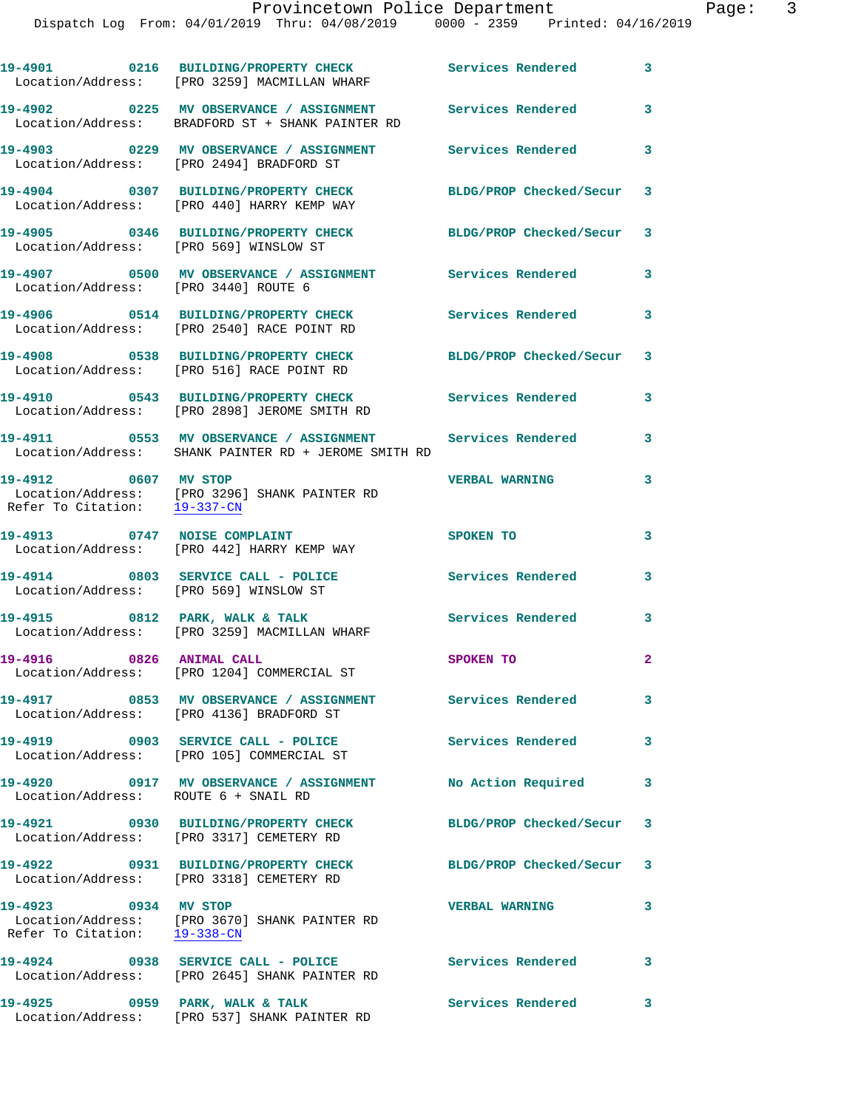|                                        | 19-4901 0216 BUILDING/PROPERTY CHECK Services Rendered 3<br>Location/Address: [PRO 3259] MACMILLAN WHARF          |                           |                            |
|----------------------------------------|-------------------------------------------------------------------------------------------------------------------|---------------------------|----------------------------|
|                                        | 19-4902 		 0225 MV OBSERVANCE / ASSIGNMENT Services Rendered<br>Location/Address: BRADFORD ST + SHANK PAINTER RD  |                           | 3                          |
|                                        | 19-4903 0229 MV OBSERVANCE / ASSIGNMENT Services Rendered 3<br>Location/Address: [PRO 2494] BRADFORD ST           |                           |                            |
|                                        | 19-4904 0307 BUILDING/PROPERTY CHECK<br>Location/Address: [PRO 440] HARRY KEMP WAY                                | BLDG/PROP Checked/Secur 3 |                            |
| Location/Address: [PRO 569] WINSLOW ST | 19-4905 0346 BUILDING/PROPERTY CHECK                                                                              | BLDG/PROP Checked/Secur 3 |                            |
| Location/Address: [PRO 3440] ROUTE 6   | 19-4907 6500 MV OBSERVANCE / ASSIGNMENT Services Rendered                                                         |                           | 3                          |
|                                        | 19-4906 0514 BUILDING/PROPERTY CHECK<br>Location/Address: [PRO 2540] RACE POINT RD                                | <b>Services Rendered</b>  | 3                          |
|                                        | 19-4908 0538 BUILDING/PROPERTY CHECK<br>Location/Address: [PRO 516] RACE POINT RD                                 | BLDG/PROP Checked/Secur 3 |                            |
|                                        | 19-4910 0543 BUILDING/PROPERTY CHECK<br>Location/Address: [PRO 2898] JEROME SMITH RD                              | Services Rendered         | 3                          |
|                                        | 19-4911 0553 MV OBSERVANCE / ASSIGNMENT Services Rendered<br>Location/Address: SHANK PAINTER RD + JEROME SMITH RD |                           | 3                          |
| 19-4912 0607 MV STOP                   | Location/Address: [PRO 3296] SHANK PAINTER RD<br>Refer To Citation: 19-337-CN                                     | <b>VERBAL WARNING</b>     | 3                          |
| 19-4913 0747 NOISE COMPLAINT           | Location/Address: [PRO 442] HARRY KEMP WAY                                                                        | SPOKEN TO                 | 3                          |
| Location/Address: [PRO 569] WINSLOW ST | 19-4914 0803 SERVICE CALL - POLICE                                                                                | Services Rendered         | 3                          |
|                                        | 19-4915 0812 PARK, WALK & TALK<br>Location/Address: [PRO 3259] MACMILLAN WHARF                                    | Services Rendered         | 3                          |
| 19-4916 0826 ANIMAL CALL               | Location/Address: [PRO 1204] COMMERCIAL ST                                                                        | SPOKEN TO                 | $\mathbf{2}$               |
|                                        | 19-4917 6853 MV OBSERVANCE / ASSIGNMENT Services Rendered<br>Location/Address: [PRO 4136] BRADFORD ST             |                           | $\overline{\phantom{a}}$ 3 |
|                                        | 19-4919 0903 SERVICE CALL - POLICE<br>Location/Address: [PRO 105] COMMERCIAL ST                                   | <b>Services Rendered</b>  | $\mathbf{3}$               |
| Location/Address: ROUTE 6 + SNAIL RD   | 19-4920 0917 MV OBSERVANCE / ASSIGNMENT                                                                           | No Action Required 3      |                            |
|                                        | 19-4921 0930 BUILDING/PROPERTY CHECK<br>Location/Address: [PRO 3317] CEMETERY RD                                  | BLDG/PROP Checked/Secur 3 |                            |
|                                        | 19-4922 0931 BUILDING/PROPERTY CHECK BLDG/PROP Checked/Secur 3<br>Location/Address: [PRO 3318] CEMETERY RD        |                           |                            |
|                                        | 19-4923 0934 MV STOP<br>Location/Address: [PRO 3670] SHANK PAINTER RD<br>Refer To Citation: 19-338-CN             | <b>VERBAL WARNING</b>     | 3                          |
|                                        | 19-4924 0938 SERVICE CALL - POLICE<br>Location/Address: [PRO 2645] SHANK PAINTER RD                               | <b>Services Rendered</b>  | $\overline{\phantom{a}}$ 3 |
| 19-4925                                | 0959 PARK, WALK & TALK                                                                                            | Services Rendered 3       |                            |

Location/Address: [PRO 537] SHANK PAINTER RD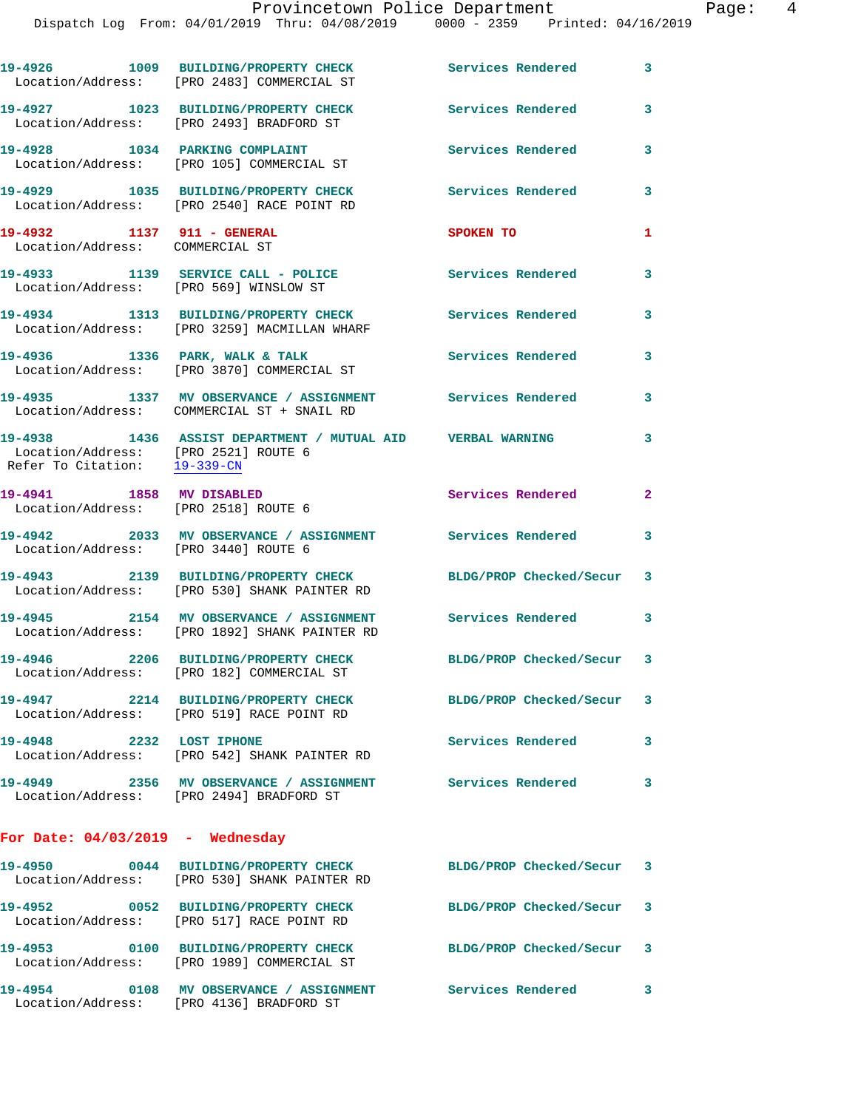|                                                                      | 19-4926 1009 BUILDING/PROPERTY CHECK<br>Location/Address: [PRO 2483] COMMERCIAL ST                          | <b>Services Rendered</b>  | 3              |
|----------------------------------------------------------------------|-------------------------------------------------------------------------------------------------------------|---------------------------|----------------|
|                                                                      | 19-4927 1023 BUILDING/PROPERTY CHECK<br>Location/Address: [PRO 2493] BRADFORD ST                            | <b>Services Rendered</b>  | 3              |
|                                                                      | 19-4928 1034 PARKING COMPLAINT<br>Location/Address: [PRO 105] COMMERCIAL ST                                 | Services Rendered         | 3              |
|                                                                      | 19-4929 1035 BUILDING/PROPERTY CHECK<br>Location/Address: [PRO 2540] RACE POINT RD                          | Services Rendered         | 3              |
| 19-4932 1137 911 - GENERAL<br>Location/Address: COMMERCIAL ST        |                                                                                                             | SPOKEN TO                 | 1              |
|                                                                      | 19-4933 1139 SERVICE CALL - POLICE<br>Location/Address: [PRO 569] WINSLOW ST                                | Services Rendered         | 3              |
|                                                                      | 19-4934 1313 BUILDING/PROPERTY CHECK<br>Location/Address: [PRO 3259] MACMILLAN WHARF                        | Services Rendered         | 3              |
|                                                                      | 19-4936 1336 PARK, WALK & TALK<br>Location/Address: [PRO 3870] COMMERCIAL ST                                | <b>Services Rendered</b>  | 3              |
|                                                                      | 19-4935 1337 MV OBSERVANCE / ASSIGNMENT Services Rendered<br>Location/Address: COMMERCIAL ST + SNAIL RD     |                           | 3              |
| Location/Address: [PRO 2521] ROUTE 6<br>Refer To Citation: 19-339-CN | 19-4938 1436 ASSIST DEPARTMENT / MUTUAL AID VERBAL WARNING                                                  |                           | 3              |
| 19-4941 1858 MV DISABLED                                             | Location/Address: [PRO 2518] ROUTE 6                                                                        | Services Rendered         | $\overline{2}$ |
| Location/Address: [PRO 3440] ROUTE 6                                 | 19-4942 2033 MV OBSERVANCE / ASSIGNMENT Services Rendered                                                   |                           | 3              |
|                                                                      | 19-4943 2139 BUILDING/PROPERTY CHECK<br>Location/Address: [PRO 530] SHANK PAINTER RD                        | BLDG/PROP Checked/Secur 3 |                |
|                                                                      | 19-4945 2154 MV OBSERVANCE / ASSIGNMENT<br>Location/Address: [PRO 1892] SHANK PAINTER RD                    | Services Rendered 3       |                |
|                                                                      | 19-4946 2206 BUILDING/PROPERTY CHECK<br>Location/Address: [PRO 182] COMMERCIAL ST                           | BLDG/PROP Checked/Secur 3 |                |
|                                                                      | 19-4947 2214 BUILDING/PROPERTY CHECK BLDG/PROP Checked/Secur 3<br>Location/Address: [PRO 519] RACE POINT RD |                           |                |
| 19-4948 2232 LOST IPHONE                                             | Location/Address: [PRO 542] SHANK PAINTER RD                                                                | Services Rendered 3       |                |
|                                                                      | 19-4949 2356 MV OBSERVANCE / ASSIGNMENT Services Rendered<br>Location/Address: [PRO 2494] BRADFORD ST       |                           | 3              |
| For Date: $04/03/2019$ - Wednesday                                   |                                                                                                             |                           |                |
|                                                                      | 19-4950 0044 BUILDING/PROPERTY CHECK<br>Location/Address: [PRO 530] SHANK PAINTER RD                        | BLDG/PROP Checked/Secur 3 |                |
|                                                                      | 19-4952 0052 BUILDING/PROPERTY CHECK<br>Location/Address: [PRO 517] RACE POINT RD                           | BLDG/PROP Checked/Secur 3 |                |
|                                                                      |                                                                                                             |                           |                |

Location/Address: [PRO 1989] COMMERCIAL ST

Location/Address: [PRO 4136] BRADFORD ST

**19-4953 0100 BUILDING/PROPERTY CHECK BLDG/PROP Checked/Secur 3 19-4954 0108 MV OBSERVANCE / ASSIGNMENT Services Rendered 3**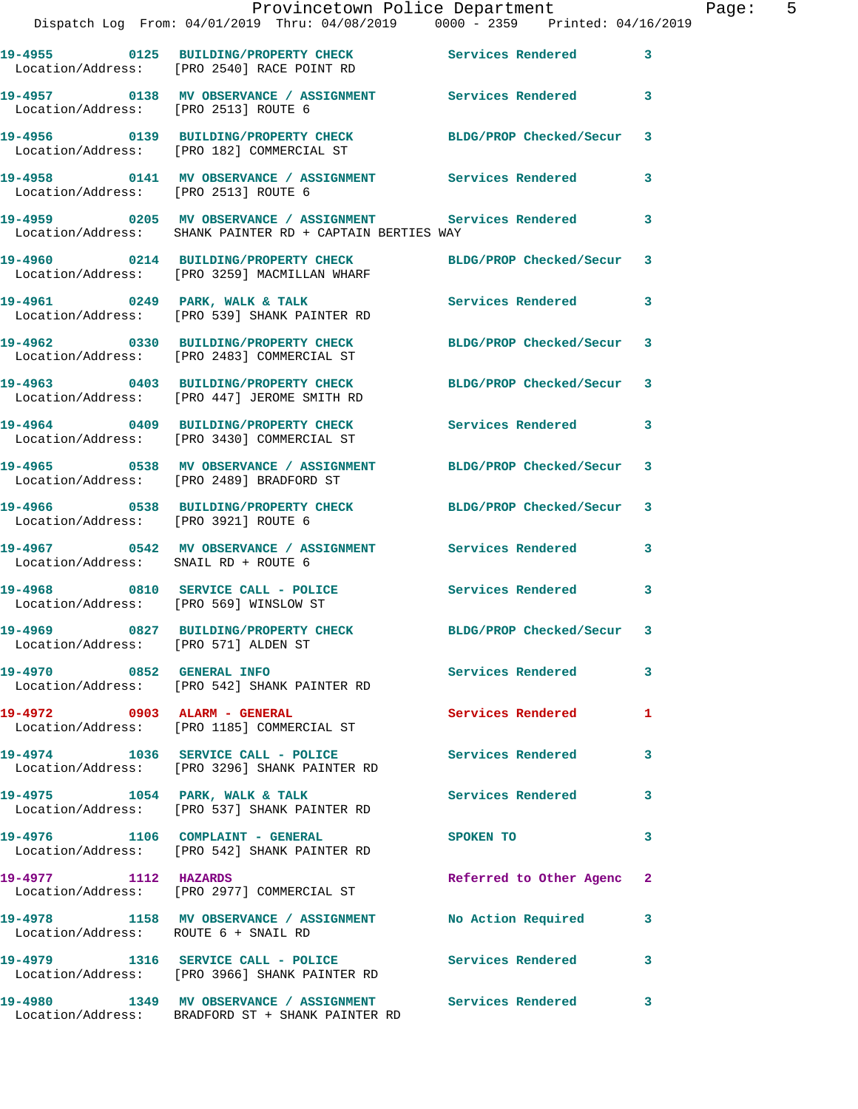|                                        | Provincetown Police Department<br>Dispatch Log From: 04/01/2019 Thru: 04/08/2019 0000 - 2359 Printed: 04/16/2019 |                            |   | Page: 5 |  |
|----------------------------------------|------------------------------------------------------------------------------------------------------------------|----------------------------|---|---------|--|
|                                        | 19-4955 0125 BUILDING/PROPERTY CHECK Services Rendered 3<br>Location/Address: [PRO 2540] RACE POINT RD           |                            |   |         |  |
| Location/Address: [PRO 2513] ROUTE 6   | 19-4957 0138 MV OBSERVANCE / ASSIGNMENT Services Rendered 3                                                      |                            |   |         |  |
|                                        | 19-4956 0139 BUILDING/PROPERTY CHECK BLDG/PROP Checked/Secur 3<br>Location/Address: [PRO 182] COMMERCIAL ST      |                            |   |         |  |
| Location/Address: [PRO 2513] ROUTE 6   | 19-4958 0141 MV OBSERVANCE / ASSIGNMENT Services Rendered 3                                                      |                            |   |         |  |
|                                        |                                                                                                                  |                            |   |         |  |
|                                        | 19-4960 0214 BUILDING/PROPERTY CHECK BLDG/PROP Checked/Secur 3<br>Location/Address: [PRO 3259] MACMILLAN WHARF   |                            |   |         |  |
|                                        |                                                                                                                  | Services Rendered 3        |   |         |  |
|                                        | 19-4962 0330 BUILDING/PROPERTY CHECK BLDG/PROP Checked/Secur 3<br>Location/Address: [PRO 2483] COMMERCIAL ST     |                            |   |         |  |
|                                        | 19-4963 0403 BUILDING/PROPERTY CHECK BLDG/PROP Checked/Secur 3<br>Location/Address: [PRO 447] JEROME SMITH RD    |                            |   |         |  |
|                                        | 19-4964 0409 BUILDING/PROPERTY CHECK Services Rendered 3<br>Location/Address: [PRO 3430] COMMERCIAL ST           |                            |   |         |  |
|                                        | 19-4965 0538 MV OBSERVANCE / ASSIGNMENT BLDG/PROP Checked/Secur 3<br>Location/Address: [PRO 2489] BRADFORD ST    |                            |   |         |  |
| Location/Address: [PRO 3921] ROUTE 6   | 19-4966 0538 BUILDING/PROPERTY CHECK BLDG/PROP Checked/Secur 3                                                   |                            |   |         |  |
| Location/Address: SNAIL RD + ROUTE 6   | 19-4967 6542 MV OBSERVANCE / ASSIGNMENT Services Rendered 3                                                      |                            |   |         |  |
| Location/Address: [PRO 569] WINSLOW ST | 19-4968 0810 SERVICE CALL - POLICE Services Rendered 3                                                           |                            |   |         |  |
| Location/Address: [PRO 571] ALDEN ST   | 19-4969 0827 BUILDING/PROPERTY CHECK                                                                             | BLDG/PROP Checked/Secur 3  |   |         |  |
|                                        | 19-4970 0852 GENERAL INFO Services Rendered 3<br>Location/Address: [PRO 542] SHANK PAINTER RD                    |                            |   |         |  |
|                                        | 19-4972 0903 ALARM - GENERAL<br>Location/Address: [PRO 1185] COMMERCIAL ST                                       | <b>Services Rendered</b> 1 |   |         |  |
|                                        | 19-4974 1036 SERVICE CALL - POLICE Services Rendered<br>Location/Address: [PRO 3296] SHANK PAINTER RD            |                            | 3 |         |  |
|                                        | 19-4975 1054 PARK, WALK & TALK<br>Location/Address: [PRO 537] SHANK PAINTER RD                                   | Services Rendered 3        |   |         |  |
|                                        | 19-4976 1106 COMPLAINT - GENERAL<br>Location/Address: [PRO 542] SHANK PAINTER RD                                 | <b>SPOKEN TO</b>           | 3 |         |  |
| 19-4977 1112 HAZARDS                   | Location/Address: [PRO 2977] COMMERCIAL ST                                                                       | Referred to Other Agenc 2  |   |         |  |
| Location/Address: ROUTE 6 + SNAIL RD   | 19-4978 1158 MV OBSERVANCE / ASSIGNMENT No Action Required 3                                                     |                            |   |         |  |
|                                        | 19-4979 1316 SERVICE CALL - POLICE 3 Services Rendered 3<br>Location/Address: [PRO 3966] SHANK PAINTER RD        |                            |   |         |  |
|                                        | 19-4980 1349 MV OBSERVANCE / ASSIGNMENT Services Rendered 3<br>Location/Address: BRADFORD ST + SHANK PAINTER RD  |                            |   |         |  |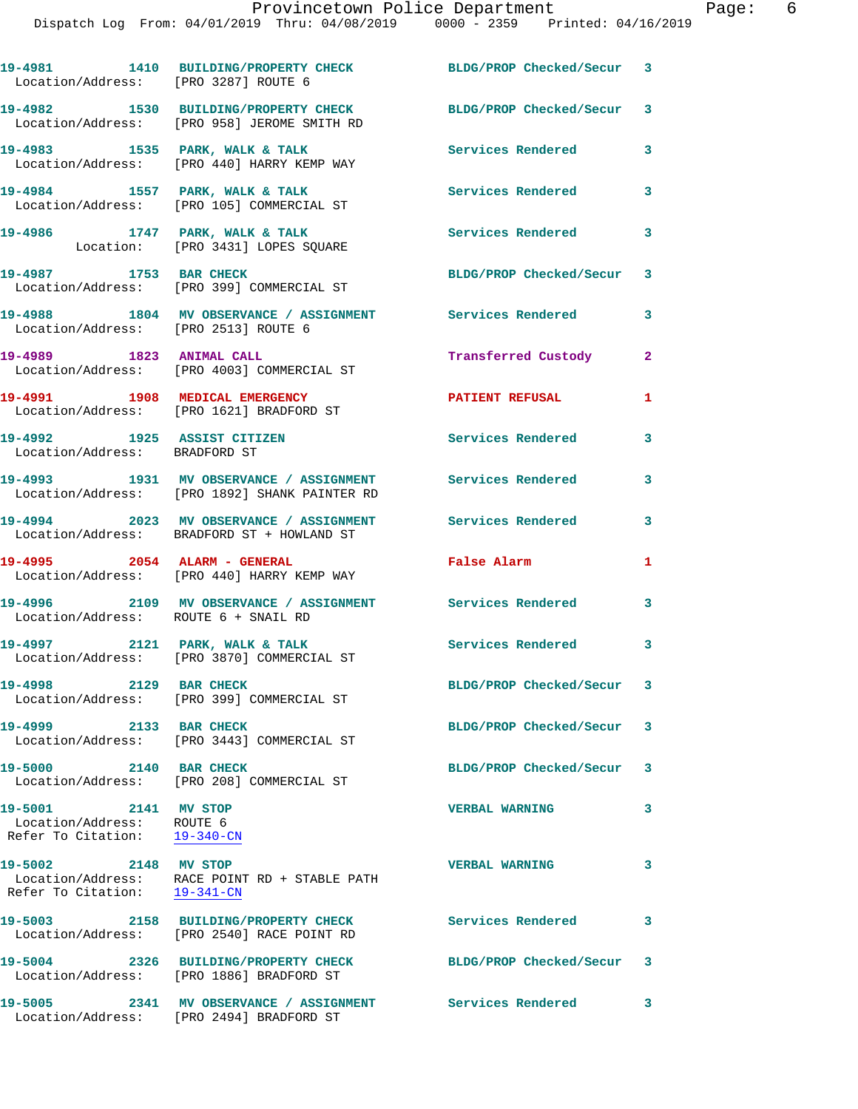| Location/Address: [PRO 3287] ROUTE 6                                              | 19-4981 1410 BUILDING/PROPERTY CHECK BLDG/PROP Checked/Secur 3                                          |                            |                         |
|-----------------------------------------------------------------------------------|---------------------------------------------------------------------------------------------------------|----------------------------|-------------------------|
|                                                                                   | 19-4982 1530 BUILDING/PROPERTY CHECK<br>Location/Address: [PRO 958] JEROME SMITH RD                     | BLDG/PROP Checked/Secur 3  |                         |
|                                                                                   | 19-4983 1535 PARK, WALK & TALK<br>Location/Address: [PRO 440] HARRY KEMP WAY                            | Services Rendered 3        |                         |
|                                                                                   | 19-4984 1557 PARK, WALK & TALK<br>Location/Address: [PRO 105] COMMERCIAL ST                             | <b>Services Rendered</b>   | $\overline{\mathbf{3}}$ |
|                                                                                   | 19-4986 1747 PARK, WALK & TALK<br>Location: [PRO 3431] LOPES SQUARE                                     | Services Rendered 3        |                         |
| 19-4987 1753 BAR CHECK                                                            | Location/Address: [PRO 399] COMMERCIAL ST                                                               | BLDG/PROP Checked/Secur 3  |                         |
| Location/Address: [PRO 2513] ROUTE 6                                              | 19-4988 1804 MV OBSERVANCE / ASSIGNMENT Services Rendered 3                                             |                            |                         |
|                                                                                   | 19-4989 1823 ANIMAL CALL<br>Location/Address: [PRO 4003] COMMERCIAL ST                                  | <b>Transferred Custody</b> | $\mathbf{2}$            |
| 19-4991 1908 MEDICAL EMERGENCY                                                    | Location/Address: [PRO 1621] BRADFORD ST                                                                | <b>PATIENT REFUSAL</b>     | 1                       |
| 19-4992 1925 ASSIST CITIZEN<br>Location/Address: BRADFORD ST                      |                                                                                                         | <b>Services Rendered</b>   | 3                       |
|                                                                                   | Location/Address: [PRO 1892] SHANK PAINTER RD                                                           |                            | 3                       |
|                                                                                   | 19-4994 2023 MV OBSERVANCE / ASSIGNMENT Services Rendered<br>Location/Address: BRADFORD ST + HOWLAND ST |                            | 3                       |
| 19-4995 2054 ALARM - GENERAL                                                      | Location/Address: [PRO 440] HARRY KEMP WAY                                                              | False Alarm                | $\mathbf{1}$            |
| Location/Address: ROUTE 6 + SNAIL RD                                              | 19-4996 2109 MV OBSERVANCE / ASSIGNMENT Services Rendered 3                                             |                            |                         |
|                                                                                   | 19-4997 2121 PARK, WALK & TALK<br>Location/Address: [PRO 3870] COMMERCIAL ST                            | Services Rendered 3        |                         |
| 19-4998 2129 BAR CHECK                                                            | Location/Address: [PRO 399] COMMERCIAL ST                                                               | BLDG/PROP Checked/Secur 3  |                         |
| 19-4999 2133 BAR CHECK                                                            | Location/Address: [PRO 3443] COMMERCIAL ST                                                              | BLDG/PROP Checked/Secur 3  |                         |
| 19-5000 2140 BAR CHECK                                                            | Location/Address: [PRO 208] COMMERCIAL ST                                                               | BLDG/PROP Checked/Secur    | 3                       |
| 19-5001 2141 MV STOP<br>Location/Address: ROUTE 6<br>Refer To Citation: 19-340-CN |                                                                                                         | <b>VERBAL WARNING</b>      | 3                       |
| 19-5002 2148 MV STOP<br>Refer To Citation: 19-341-CN                              | Location/Address: RACE POINT RD + STABLE PATH                                                           | <b>VERBAL WARNING</b>      | 3                       |
|                                                                                   | 19-5003 2158 BUILDING/PROPERTY CHECK<br>Location/Address: [PRO 2540] RACE POINT RD                      | <b>Services Rendered</b>   | 3                       |
|                                                                                   | 19-5004 2326 BUILDING/PROPERTY CHECK<br>Location/Address: [PRO 1886] BRADFORD ST                        | BLDG/PROP Checked/Secur 3  |                         |
|                                                                                   | 19-5005 2341 MV OBSERVANCE / ASSIGNMENT Services Rendered<br>Location/Address: [PRO 2494] BRADFORD ST   |                            | 3                       |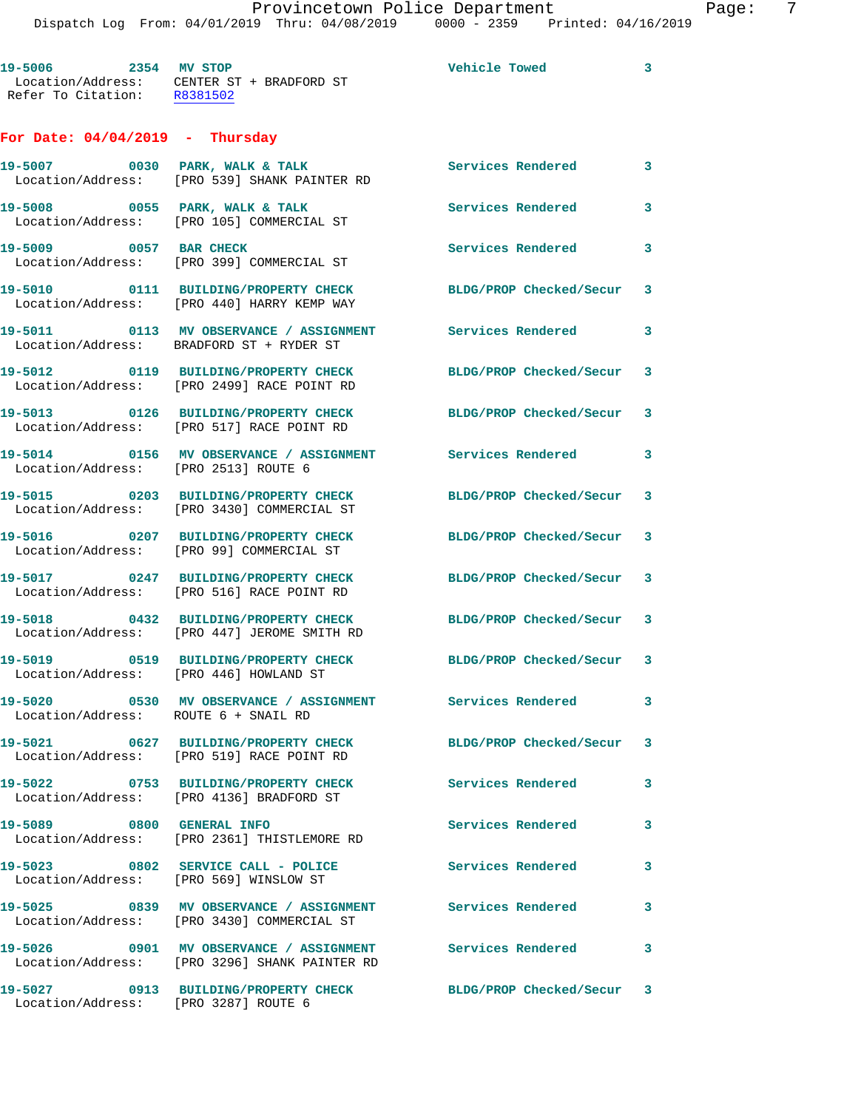| 19-5006                                 | 2354 MV STOP                        |  | Vehicle Towed | 3 |
|-----------------------------------------|-------------------------------------|--|---------------|---|
| Location/Address:<br>Refer To Citation: | CENTER ST + BRADFORD ST<br>R8381502 |  |               |   |

## **For Date: 04/04/2019 - Thursday**

|                                        | 19-5007 0030 PARK, WALK & TALK<br>Location/Address: [PRO 539] SHANK PAINTER RD                             | Services Rendered         | 3 |
|----------------------------------------|------------------------------------------------------------------------------------------------------------|---------------------------|---|
|                                        | 19-5008 0055 PARK, WALK & TALK<br>Location/Address: [PRO 105] COMMERCIAL ST                                | <b>Services Rendered</b>  | 3 |
| 19-5009 0057 BAR CHECK                 | Location/Address: [PRO 399] COMMERCIAL ST                                                                  | Services Rendered         | 3 |
|                                        | 19-5010 0111 BUILDING/PROPERTY CHECK<br>Location/Address: [PRO 440] HARRY KEMP WAY                         | BLDG/PROP Checked/Secur 3 |   |
|                                        | 19-5011 0113 MV OBSERVANCE / ASSIGNMENT<br>Location/Address: BRADFORD ST + RYDER ST                        | <b>Services Rendered</b>  | 3 |
|                                        | 19-5012 0119 BUILDING/PROPERTY CHECK<br>Location/Address: [PRO 2499] RACE POINT RD                         | BLDG/PROP Checked/Secur 3 |   |
|                                        | 19-5013 0126 BUILDING/PROPERTY CHECK<br>Location/Address: [PRO 517] RACE POINT RD                          | BLDG/PROP Checked/Secur 3 |   |
| Location/Address: [PRO 2513] ROUTE 6   | 19-5014 0156 MV OBSERVANCE / ASSIGNMENT                                                                    | Services Rendered 3       |   |
|                                        | 19-5015 0203 BUILDING/PROPERTY CHECK<br>Location/Address: [PRO 3430] COMMERCIAL ST                         | BLDG/PROP Checked/Secur 3 |   |
|                                        | 19-5016 0207 BUILDING/PROPERTY CHECK<br>Location/Address: [PRO 99] COMMERCIAL ST                           | BLDG/PROP Checked/Secur 3 |   |
|                                        | 19-5017 0247 BUILDING/PROPERTY CHECK<br>Location/Address: [PRO 516] RACE POINT RD                          | BLDG/PROP Checked/Secur 3 |   |
|                                        | 19-5018 0432 BUILDING/PROPERTY CHECK<br>Location/Address: [PRO 447] JEROME SMITH RD                        | BLDG/PROP Checked/Secur 3 |   |
|                                        | 19-5019 0519 BUILDING/PROPERTY CHECK<br>Location/Address: [PRO 446] HOWLAND ST                             | BLDG/PROP Checked/Secur 3 |   |
| Location/Address: ROUTE 6 + SNAIL RD   | 19-5020 0530 MV OBSERVANCE / ASSIGNMENT                                                                    | <b>Services Rendered</b>  | 3 |
|                                        | 19-5021 0627 BUILDING/PROPERTY CHECK<br>Location/Address: [PRO 519] RACE POINT RD                          | BLDG/PROP Checked/Secur 3 |   |
|                                        | 19-5022 0753 BUILDING/PROPERTY CHECK<br>Location/Address: [PRO 4136] BRADFORD ST                           | Services Rendered 3       |   |
| 19-5089 0800 GENERAL INFO              | Location/Address: [PRO 2361] THISTLEMORE RD                                                                | Services Rendered         | 3 |
| Location/Address: [PRO 569] WINSLOW ST | 19-5023 0802 SERVICE CALL - POLICE                                                                         | Services Rendered         | 3 |
|                                        | 19-5025 0839 MV OBSERVANCE / ASSIGNMENT<br>Location/Address: [PRO 3430] COMMERCIAL ST                      | Services Rendered         | 3 |
|                                        | 19-5026 0901 MV OBSERVANCE / ASSIGNMENT Services Rendered<br>Location/Address: [PRO 3296] SHANK PAINTER RD |                           | 3 |
| Location/Address: [PRO 3287] ROUTE 6   | 19-5027 0913 BUILDING/PROPERTY CHECK                                                                       | BLDG/PROP Checked/Secur 3 |   |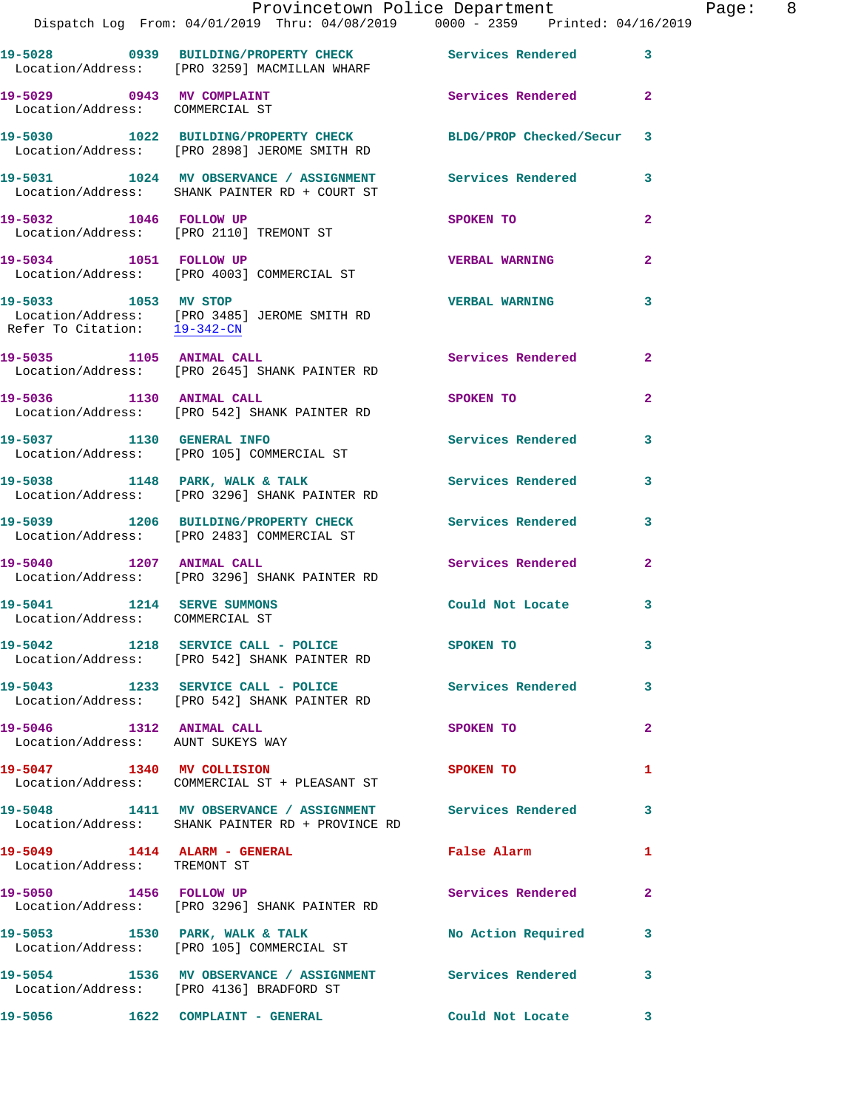|                                                               | Dispatch Log From: 04/01/2019 Thru: 04/08/2019 0000 - 2359 Printed: 04/16/2019                                  | Provincetown Police Department   |                | Page: 8 |  |
|---------------------------------------------------------------|-----------------------------------------------------------------------------------------------------------------|----------------------------------|----------------|---------|--|
|                                                               | 19-5028 0939 BUILDING/PROPERTY CHECK Services Rendered<br>Location/Address: [PRO 3259] MACMILLAN WHARF          |                                  | $\mathbf{3}$   |         |  |
| Location/Address: COMMERCIAL ST                               | 19-5029 0943 MV COMPLAINT                                                                                       | Services Rendered                | $\mathbf{2}$   |         |  |
|                                                               | 19-5030 1022 BUILDING/PROPERTY CHECK BLDG/PROP Checked/Secur 3<br>Location/Address: [PRO 2898] JEROME SMITH RD  |                                  |                |         |  |
|                                                               | 19-5031 1024 MV OBSERVANCE / ASSIGNMENT Services Rendered 3<br>Location/Address: SHANK PAINTER RD + COURT ST    |                                  |                |         |  |
|                                                               | 19-5032 1046 FOLLOW UP<br>Location/Address: [PRO 2110] TREMONT ST                                               | SPOKEN TO                        | $\mathbf{2}$   |         |  |
|                                                               | 19-5034 1051 FOLLOW UP<br>Location/Address: [PRO 4003] COMMERCIAL ST                                            | <b>VERBAL WARNING</b>            | $\overline{a}$ |         |  |
| 19-5033 1053 MV STOP<br>Refer To Citation: 19-342-CN          | Location/Address: [PRO 3485] JEROME SMITH RD                                                                    | <b>VERBAL WARNING</b>            | 3              |         |  |
|                                                               | 19-5035 1105 ANIMAL CALL<br>Location/Address: [PRO 2645] SHANK PAINTER RD                                       | Services Rendered                | $\mathbf{2}$   |         |  |
| 19-5036 1130 ANIMAL CALL                                      | Location/Address: [PRO 542] SHANK PAINTER RD                                                                    | SPOKEN TO AND TO A THE SPOKEN TO | $\mathbf{2}$   |         |  |
|                                                               | 19-5037 1130 GENERAL INFO<br>Location/Address: [PRO 105] COMMERCIAL ST                                          | Services Rendered                | 3              |         |  |
|                                                               | 19-5038 1148 PARK, WALK & TALK 1999 Services Rendered<br>Location/Address: [PRO 3296] SHANK PAINTER RD          |                                  | 3              |         |  |
|                                                               | 19-5039 1206 BUILDING/PROPERTY CHECK Services Rendered 3<br>Location/Address: [PRO 2483] COMMERCIAL ST          |                                  |                |         |  |
|                                                               | 19-5040 1207 ANIMAL CALL<br>Location/Address: [PRO 3296] SHANK PAINTER RD                                       | Services Rendered                | $\mathbf{2}$   |         |  |
| 19-5041 1214 SERVE SUMMONS<br>Location/Address: COMMERCIAL ST |                                                                                                                 | Could Not Locate                 | 3              |         |  |
|                                                               | 19-5042 1218 SERVICE CALL - POLICE SPOKEN TO<br>Location/Address: [PRO 542] SHANK PAINTER RD                    |                                  | 3              |         |  |
|                                                               | 19-5043 1233 SERVICE CALL - POLICE 3 Services Rendered<br>Location/Address: [PRO 542] SHANK PAINTER RD          |                                  | 3              |         |  |
| 19-5046 1312 ANIMAL CALL                                      | Location/Address: AUNT SUKEYS WAY                                                                               | SPOKEN TO                        | $\mathbf{2}$   |         |  |
|                                                               | 19-5047 1340 MV COLLISION<br>Location/Address: COMMERCIAL ST + PLEASANT ST                                      | SPOKEN TO                        | 1              |         |  |
|                                                               | 19-5048 1411 MV OBSERVANCE / ASSIGNMENT Services Rendered 3<br>Location/Address: SHANK PAINTER RD + PROVINCE RD |                                  |                |         |  |
| Location/Address: TREMONT ST                                  | 19-5049 1414 ALARM - GENERAL Talse Alarm                                                                        |                                  | 1              |         |  |
| 19-5050 1456 FOLLOW UP                                        | Location/Address: [PRO 3296] SHANK PAINTER RD                                                                   | Services Rendered                | $\mathbf{2}$   |         |  |
|                                                               |                                                                                                                 | No Action Required 3             |                |         |  |
|                                                               | 19-5054 1536 MV OBSERVANCE / ASSIGNMENT Services Rendered<br>Location/Address: [PRO 4136] BRADFORD ST           |                                  | 3              |         |  |
|                                                               |                                                                                                                 | Could Not Locate                 | $\mathbf{3}$   |         |  |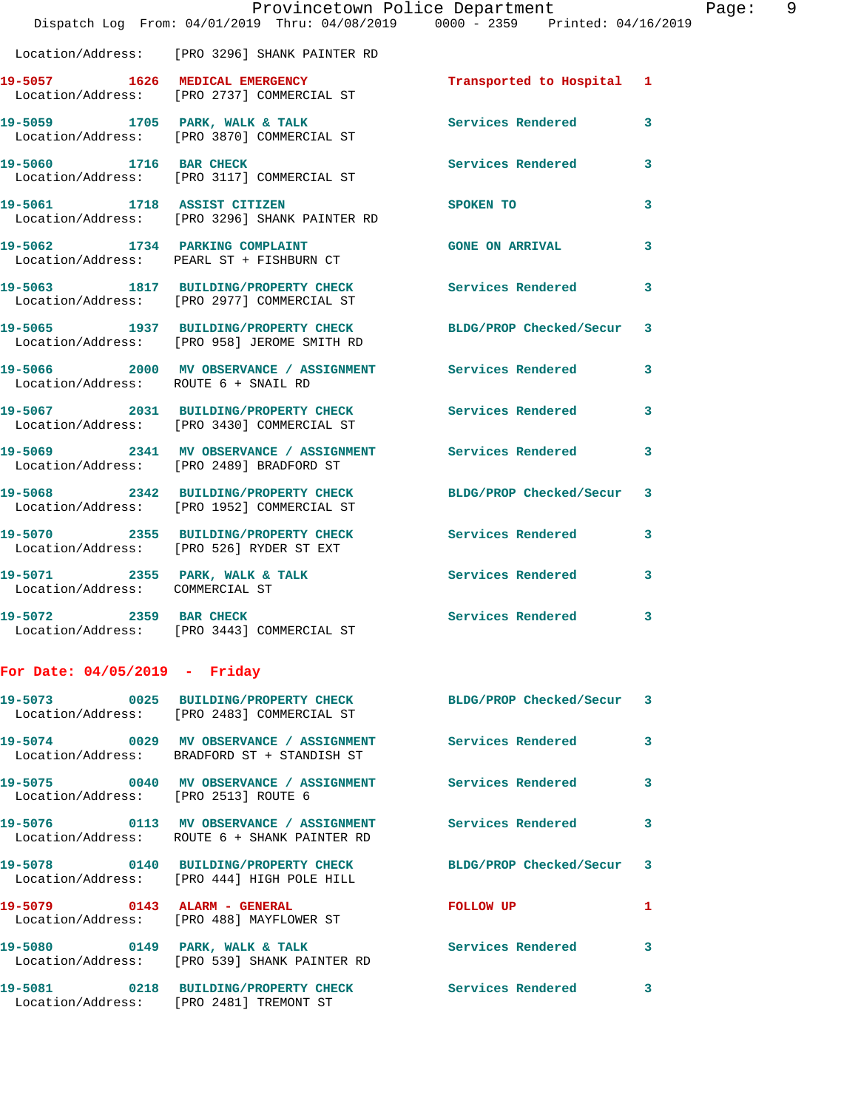|                                      | Provincetown Police Department                                                                        |                          |   |
|--------------------------------------|-------------------------------------------------------------------------------------------------------|--------------------------|---|
|                                      | Dispatch Log From: 04/01/2019 Thru: 04/08/2019 0000 - 2359 Printed: 04/16/2019                        |                          |   |
|                                      | Location/Address: [PRO 3296] SHANK PAINTER RD                                                         |                          |   |
|                                      | 19-5057 1626 MEDICAL EMERGENCY<br>Location/Address: [PRO 2737] COMMERCIAL ST                          | Transported to Hospital  | 1 |
|                                      | 19-5059 1705 PARK, WALK & TALK<br>Location/Address: [PRO 3870] COMMERCIAL ST                          | <b>Services Rendered</b> | 3 |
| 19-5060 1716 BAR CHECK               | Location/Address: [PRO 3117] COMMERCIAL ST                                                            | <b>Services Rendered</b> | 3 |
| 19-5061 1718 ASSIST CITIZEN          | Location/Address: [PRO 3296] SHANK PAINTER RD                                                         | SPOKEN TO                | 3 |
| 19-5062                              | 1734 PARKING COMPLAINT<br>Location/Address: PEARL ST + FISHBURN CT                                    | <b>GONE ON ARRIVAL</b>   | 3 |
|                                      | 19-5063 1817 BUILDING/PROPERTY CHECK<br>Location/Address: [PRO 2977] COMMERCIAL ST                    | <b>Services Rendered</b> | 3 |
|                                      | 19-5065 1937 BUILDING/PROPERTY CHECK<br>Location/Address: [PRO 958] JEROME SMITH RD                   | BLDG/PROP Checked/Secur  | 3 |
| Location/Address: ROUTE 6 + SNAIL RD | 19-5066 2000 MV OBSERVANCE / ASSIGNMENT Services Rendered                                             |                          | 3 |
|                                      | 19-5067 2031 BUILDING/PROPERTY CHECK Services Rendered<br>Location/Address: [PRO 3430] COMMERCIAL ST  |                          | 3 |
|                                      | 19-5069 2341 MV OBSERVANCE / ASSIGNMENT Services Rendered<br>Location/Address: [PRO 2489] BRADFORD ST |                          | 3 |
|                                      | 19-5068 2342 BUILDING/PROPERTY CHECK<br>Location/Address: [PRO 1952] COMMERCIAL ST                    | BLDG/PROP Checked/Secur  | 3 |
|                                      | 19-5070 2355 BUILDING/PROPERTY CHECK<br>Location/Address: [PRO 526] RYDER ST EXT                      | <b>Services Rendered</b> | 3 |
| Location/Address: COMMERCIAL ST      | 19-5071 2355 PARK, WALK & TALK                                                                        | <b>Services Rendered</b> | 3 |
| 19-5072 2359 BAR CHECK               | Location/Address: [PRO 3443] COMMERCIAL ST                                                            | Services Rendered        | 3 |
| For Date: 04/05/2019 - Friday        |                                                                                                       |                          |   |
|                                      |                                                                                                       |                          |   |

|                                      | 19-5073       0025  BUILDING/PROPERTY CHECK        BLDG/PROP Checked/Secur   3<br>Location/Address: [PRO 2483] COMMERCIAL ST |                           |                         |
|--------------------------------------|------------------------------------------------------------------------------------------------------------------------------|---------------------------|-------------------------|
|                                      | Location/Address: BRADFORD ST + STANDISH ST                                                                                  |                           | $\overline{\mathbf{3}}$ |
| Location/Address: [PRO 2513] ROUTE 6 |                                                                                                                              |                           | $\mathbf{3}$            |
|                                      | 19-5076       0113   MV OBSERVANCE / ASSIGNMENT       Services Rendered<br>Location/Address: ROUTE 6 + SHANK PAINTER RD      |                           | $\overline{\mathbf{3}}$ |
|                                      | Location/Address: [PRO 444] HIGH POLE HILL                                                                                   | BLDG/PROP Checked/Secur 3 |                         |
| 19-5079 0143 ALARM - GENERAL         | Location/Address: [PRO 488] MAYFLOWER ST                                                                                     | <b>FOLLOW UP</b>          | $\mathbf{1}$            |
|                                      | 19-5080 0149 PARK, WALK & TALK<br>Location/Address: [PRO 539] SHANK PAINTER RD                                               | <b>Services Rendered</b>  | $\mathbf{3}$            |
|                                      | 19-5081  0218 BUILDING/PROPERTY CHECK  Services Rendered<br>Location/Address: [PRO 2481] TREMONT ST                          |                           | 3                       |

Page: 9<br>019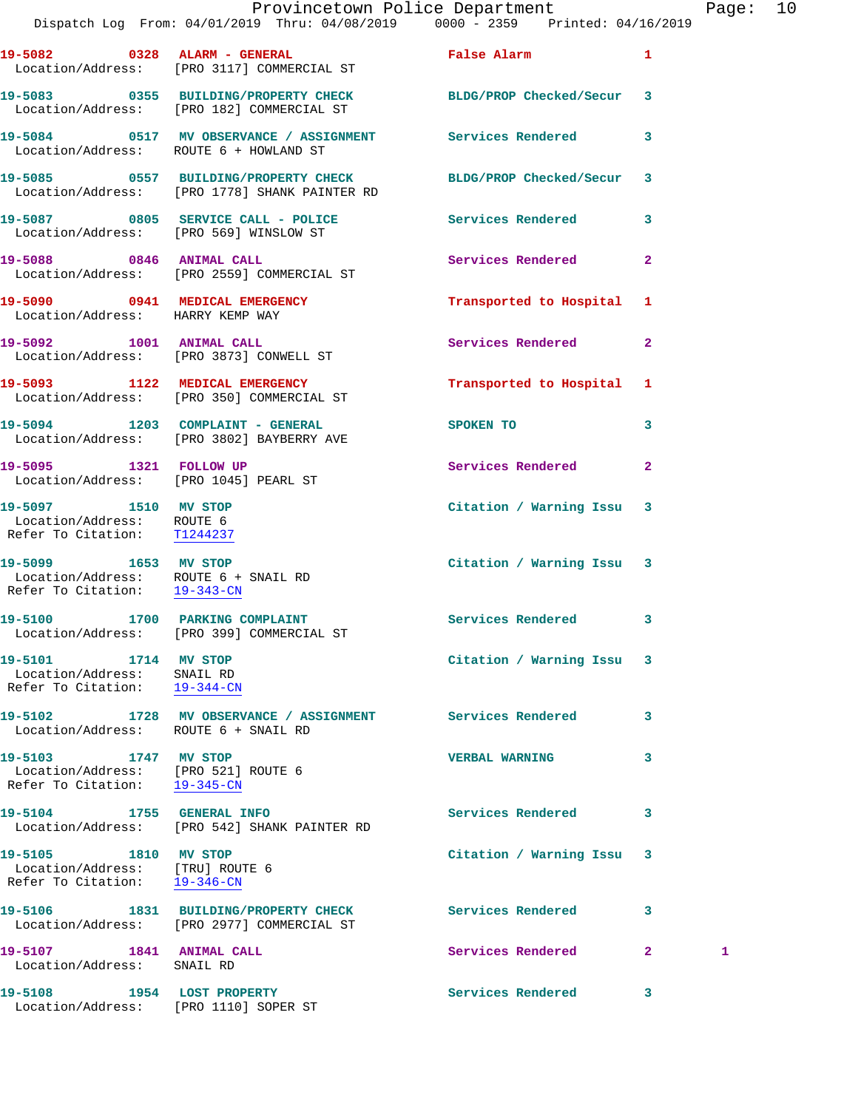|                                                                                              | Provincetown Police Department                                                                              |                               |              | Page: 10 |  |
|----------------------------------------------------------------------------------------------|-------------------------------------------------------------------------------------------------------------|-------------------------------|--------------|----------|--|
|                                                                                              | Dispatch Log From: 04/01/2019 Thru: 04/08/2019 0000 - 2359 Printed: 04/16/2019                              |                               |              |          |  |
|                                                                                              | 19-5082 0328 ALARM - GENERAL<br>Location/Address: [PRO 3117] COMMERCIAL ST                                  | False Alarm <b>Example 20</b> | $\mathbf{1}$ |          |  |
|                                                                                              | 19-5083 0355 BUILDING/PROPERTY CHECK BLDG/PROP Checked/Secur 3<br>Location/Address: [PRO 182] COMMERCIAL ST |                               |              |          |  |
| Location/Address: ROUTE 6 + HOWLAND ST                                                       | 19-5084 0517 MV OBSERVANCE / ASSIGNMENT Services Rendered 3                                                 |                               |              |          |  |
|                                                                                              | 19-5085 0557 BUILDING/PROPERTY CHECK<br>Location/Address: [PRO 1778] SHANK PAINTER RD                       | BLDG/PROP Checked/Secur 3     |              |          |  |
|                                                                                              | 19-5087 0805 SERVICE CALL - POLICE 3 Services Rendered 3<br>Location/Address: [PRO 569] WINSLOW ST          |                               |              |          |  |
|                                                                                              | 19-5088 0846 ANIMAL CALL<br>Location/Address: [PRO 2559] COMMERCIAL ST                                      | Services Rendered             | $\mathbf{2}$ |          |  |
| Location/Address: HARRY KEMP WAY                                                             | 19-5090 0941 MEDICAL EMERGENCY                                                                              | Transported to Hospital 1     |              |          |  |
|                                                                                              | 19-5092 1001 ANIMAL CALL<br>Location/Address: [PRO 3873] CONWELL ST                                         | Services Rendered             | $\mathbf{2}$ |          |  |
|                                                                                              | 19-5093 1122 MEDICAL EMERGENCY<br>Location/Address: [PRO 350] COMMERCIAL ST                                 | Transported to Hospital 1     |              |          |  |
|                                                                                              | 19-5094 1203 COMPLAINT - GENERAL<br>Location/Address: [PRO 3802] BAYBERRY AVE                               | SPOKEN TO                     | $\mathbf{3}$ |          |  |
| 19-5095 1321 FOLLOW UP<br>Location/Address: [PRO 1045] PEARL ST                              |                                                                                                             | Services Rendered             | $\mathbf{2}$ |          |  |
| 19-5097 1510 MV STOP<br>Location/Address: ROUTE 6<br>Refer To Citation: T1244237             |                                                                                                             | Citation / Warning Issu 3     |              |          |  |
| 19-5099 1653 MV STOP<br>Location/Address: ROUTE 6 + SNAIL RD<br>Refer To Citation: 19-343-CN |                                                                                                             | Citation / Warning Issu 3     |              |          |  |
|                                                                                              | 19-5100 1700 PARKING COMPLAINT Services Rendered 3<br>Location/Address: [PRO 399] COMMERCIAL ST             |                               |              |          |  |
| 19-5101 1714 MV STOP<br>Location/Address: SNAIL RD<br>Refer To Citation: 19-344-CN           |                                                                                                             | Citation / Warning Issu 3     |              |          |  |
| Location/Address: ROUTE 6 + SNAIL RD                                                         | 19-5102 1728 MV OBSERVANCE / ASSIGNMENT Services Rendered                                                   |                               | 3            |          |  |
| 19-5103 1747 MV STOP<br>Location/Address: [PRO 521] ROUTE 6<br>Refer To Citation: 19-345-CN  |                                                                                                             | <b>VERBAL WARNING</b>         | 3            |          |  |
|                                                                                              | 19-5104 1755 GENERAL INFO<br>Location/Address: [PRO 542] SHANK PAINTER RD                                   | Services Rendered             | 3            |          |  |
| 19-5105 1810 MV STOP<br>Location/Address: [TRU] ROUTE 6<br>Refer To Citation: 19-346-CN      |                                                                                                             | Citation / Warning Issu 3     |              |          |  |
|                                                                                              | 19-5106 1831 BUILDING/PROPERTY CHECK<br>Location/Address: [PRO 2977] COMMERCIAL ST                          | <b>Services Rendered</b>      | 3            |          |  |
| 19-5107 1841 ANIMAL CALL<br>Location/Address: SNAIL RD                                       |                                                                                                             | Services Rendered             | $\mathbf{2}$ | 1        |  |
| 19-5108                                                                                      | 1954 LOST PROPERTY                                                                                          | Services Rendered             | 3            |          |  |

Location/Address: [PRO 1110] SOPER ST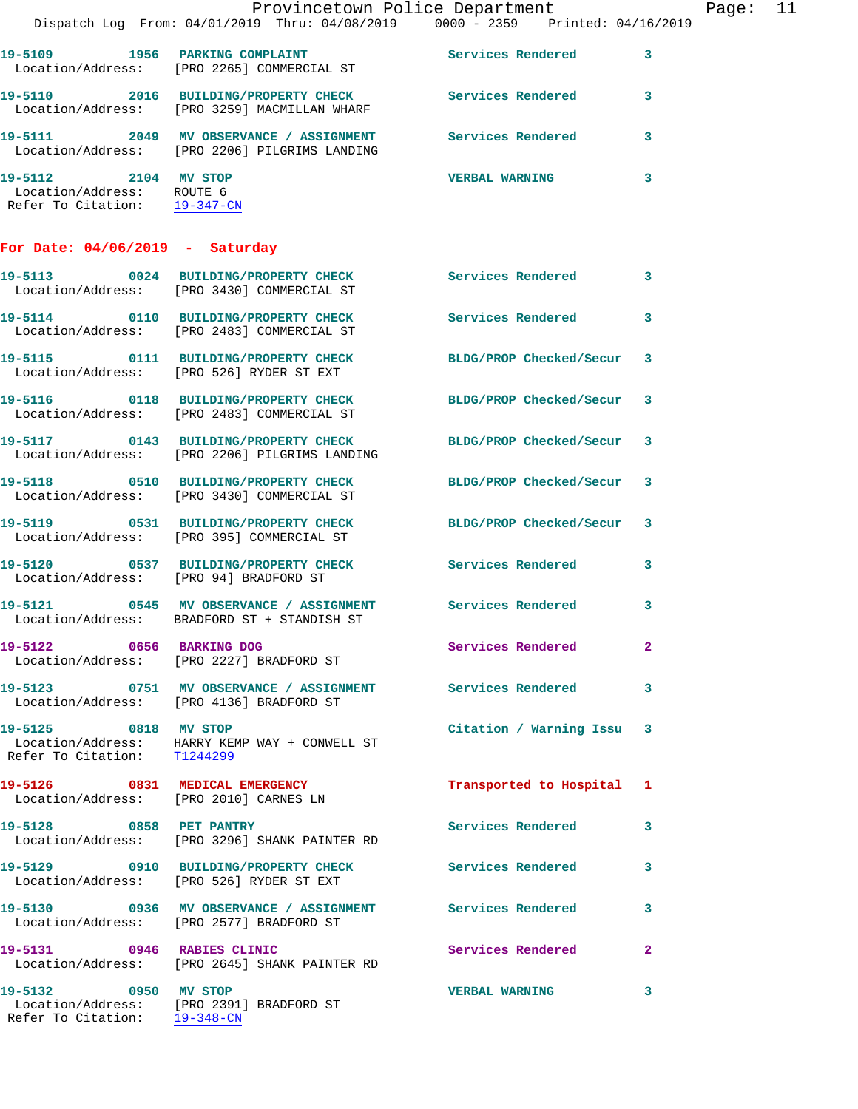|                                                                                   |                                                                                                                 | Provincetown Police Department |              | Page: 11 |  |
|-----------------------------------------------------------------------------------|-----------------------------------------------------------------------------------------------------------------|--------------------------------|--------------|----------|--|
|                                                                                   | Dispatch Log From: 04/01/2019 Thru: 04/08/2019 0000 - 2359 Printed: 04/16/2019                                  |                                |              |          |  |
|                                                                                   | 19-5109 1956 PARKING COMPLAINT 1999 Services Rendered 3<br>Location/Address: [PRO 2265] COMMERCIAL ST           |                                |              |          |  |
|                                                                                   | 19-5110 2016 BUILDING/PROPERTY CHECK Services Rendered 3<br>Location/Address: [PRO 3259] MACMILLAN WHARF        |                                |              |          |  |
|                                                                                   | 19-5111 2049 MV OBSERVANCE / ASSIGNMENT Services Rendered 3<br>Location/Address: [PRO 2206] PILGRIMS LANDING    |                                |              |          |  |
| 19-5112 2104 MV STOP<br>Location/Address: ROUTE 6<br>Refer To Citation: 19-347-CN |                                                                                                                 | <b>VERBAL WARNING</b>          | $\mathbf{3}$ |          |  |
| For Date: $04/06/2019$ - Saturday                                                 |                                                                                                                 |                                |              |          |  |
|                                                                                   | 19-5113 0024 BUILDING/PROPERTY CHECK Services Rendered 3<br>Location/Address: [PRO 3430] COMMERCIAL ST          |                                |              |          |  |
|                                                                                   | 19-5114 0110 BUILDING/PROPERTY CHECK Services Rendered 3<br>Location/Address: [PRO 2483] COMMERCIAL ST          |                                |              |          |  |
|                                                                                   | 19-5115 0111 BUILDING/PROPERTY CHECK BLDG/PROP Checked/Secur 3<br>Location/Address: [PRO 526] RYDER ST EXT      |                                |              |          |  |
|                                                                                   | 19-5116 0118 BUILDING/PROPERTY CHECK BLDG/PROP Checked/Secur 3<br>Location/Address: [PRO 2483] COMMERCIAL ST    |                                |              |          |  |
|                                                                                   | 19-5117 0143 BUILDING/PROPERTY CHECK BLDG/PROP Checked/Secur 3<br>Location/Address: [PRO 2206] PILGRIMS LANDING |                                |              |          |  |
|                                                                                   | 19-5118 0510 BUILDING/PROPERTY CHECK BLDG/PROP Checked/Secur 3<br>Location/Address: [PRO 3430] COMMERCIAL ST    |                                |              |          |  |
|                                                                                   | 19-5119 0531 BUILDING/PROPERTY CHECK BLDG/PROP Checked/Secur 3<br>Location/Address: [PRO 395] COMMERCIAL ST     |                                |              |          |  |
|                                                                                   | 19-5120 0537 BUILDING/PROPERTY CHECK Services Rendered<br>Location/Address: [PRO 94] BRADFORD ST                |                                | $\mathbf{3}$ |          |  |
|                                                                                   | 19-5121 0545 MV OBSERVANCE / ASSIGNMENT Services Rendered 3<br>Location/Address: BRADFORD ST + STANDISH ST      |                                |              |          |  |
|                                                                                   | 19-5122 0656 BARKING DOG<br>Location/Address: [PRO 2227] BRADFORD ST                                            | <b>Services Rendered</b>       | $\mathbf{2}$ |          |  |
|                                                                                   | 19-5123 0751 MV OBSERVANCE / ASSIGNMENT Services Rendered 3<br>Location/Address: [PRO 4136] BRADFORD ST         |                                |              |          |  |
| 19-5125 0818 MV STOP<br>Refer To Citation: T1244299                               | Location/Address: HARRY KEMP WAY + CONWELL ST                                                                   | Citation / Warning Issu 3      |              |          |  |
|                                                                                   | 19-5126 0831 MEDICAL EMERGENCY<br>Location/Address: [PRO 2010] CARNES LN                                        | Transported to Hospital 1      |              |          |  |
| 19-5128 0858 PET PANTRY                                                           | Location/Address: [PRO 3296] SHANK PAINTER RD                                                                   | Services Rendered 3            |              |          |  |
|                                                                                   | 19-5129 0910 BUILDING/PROPERTY CHECK Services Rendered<br>Location/Address: [PRO 526] RYDER ST EXT              |                                | 3            |          |  |
|                                                                                   | 19-5130 0936 MV OBSERVANCE / ASSIGNMENT Services Rendered<br>Location/Address: [PRO 2577] BRADFORD ST           |                                | 3            |          |  |
| 19-5131 0946 RABIES CLINIC                                                        | Location/Address: [PRO 2645] SHANK PAINTER RD                                                                   | <b>Services Rendered</b>       | $\mathbf{2}$ |          |  |
| 19-5132 0950 MV STOP<br>Refer To Citation: 19-348-CN                              | Location/Address: [PRO 2391] BRADFORD ST                                                                        | <b>VERBAL WARNING</b>          | 3            |          |  |
|                                                                                   |                                                                                                                 |                                |              |          |  |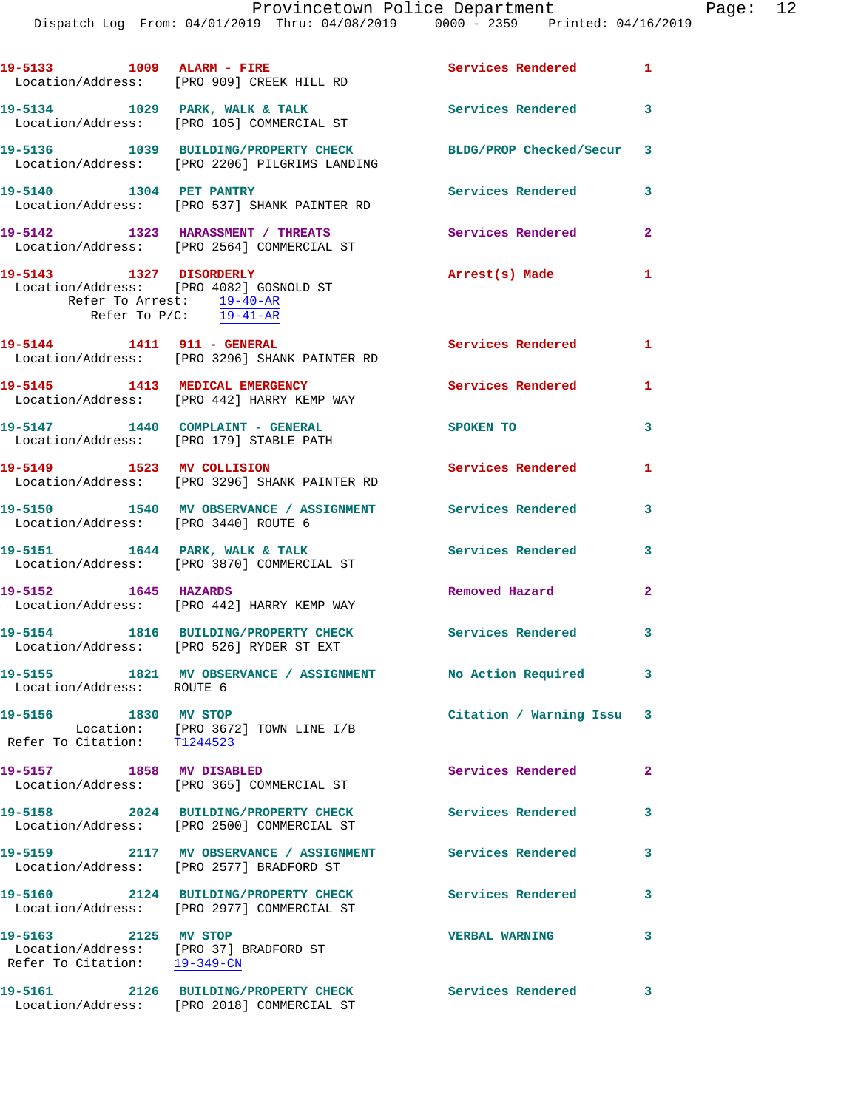Dispatch Log From: 04/01/2019 Thru: 04/08/2019 0000 - 2359 Printed: 04/16/2019

|                                                                                                                    | 19-5133 1009 ALARM - FIRE<br>Location/Address: [PRO 909] CREEK HILL RD                  | Services Rendered 1        |                         |
|--------------------------------------------------------------------------------------------------------------------|-----------------------------------------------------------------------------------------|----------------------------|-------------------------|
|                                                                                                                    | 19-5134 1029 PARK, WALK & TALK<br>Location/Address: [PRO 105] COMMERCIAL ST             | Services Rendered 3        |                         |
|                                                                                                                    | 19-5136 1039 BUILDING/PROPERTY CHECK<br>Location/Address: [PRO 2206] PILGRIMS LANDING   | BLDG/PROP Checked/Secur 3  |                         |
| 19-5140 1304 PET PANTRY                                                                                            | Location/Address: [PRO 537] SHANK PAINTER RD                                            | <b>Services Rendered</b>   | 3                       |
|                                                                                                                    | 19-5142 1323 HARASSMENT / THREATS<br>Location/Address: [PRO 2564] COMMERCIAL ST         | Services Rendered          | $\overline{2}$          |
| 19-5143 1327 DISORDERLY                                                                                            | Location/Address: [PRO 4082] GOSNOLD ST<br>Refer To Arrest: $\frac{19-40-AR}{19-41-AR}$ | Arrest(s) Made             | $\mathbf{1}$            |
| 19-5144 1411 911 - GENERAL                                                                                         | Location/Address: [PRO 3296] SHANK PAINTER RD                                           | <b>Services Rendered</b> 1 |                         |
|                                                                                                                    | 19-5145 1413 MEDICAL EMERGENCY<br>Location/Address: [PRO 442] HARRY KEMP WAY            | <b>Services Rendered</b>   | $\mathbf{1}$            |
|                                                                                                                    | 19-5147 1440 COMPLAINT - GENERAL<br>Location/Address: [PRO 179] STABLE PATH             | <b>SPOKEN TO</b>           | 3                       |
|                                                                                                                    | 19-5149 1523 MV COLLISION<br>Location/Address: [PRO 3296] SHANK PAINTER RD              | Services Rendered          | $\mathbf{1}$            |
| Location/Address: [PRO 3440] ROUTE 6                                                                               | 19-5150 1540 MV OBSERVANCE / ASSIGNMENT Services Rendered                               |                            | 3                       |
|                                                                                                                    | 19-5151 1644 PARK, WALK & TALK<br>Location/Address: [PRO 3870] COMMERCIAL ST            | <b>Services Rendered</b>   | $\overline{\mathbf{3}}$ |
| 19-5152 1645 HAZARDS                                                                                               | Location/Address: [PRO 442] HARRY KEMP WAY                                              | Removed Hazard             | $\mathbf{2}$            |
|                                                                                                                    | 19-5154 1816 BUILDING/PROPERTY CHECK<br>Location/Address: [PRO 526] RYDER ST EXT        | Services Rendered 3        |                         |
| Location/Address: ROUTE 6                                                                                          | 19-5155 1821 MV OBSERVANCE / ASSIGNMENT No Action Required                              |                            | 3                       |
| 19-5156<br>1830 MV STOP                                                                                            | Location: [PRO 3672] TOWN LINE I/B<br>Refer To Citation: T1244523                       | Citation / Warning Issu 3  |                         |
| 19-5157 1858 MV DISABLED                                                                                           | Location/Address: [PRO 365] COMMERCIAL ST                                               | Services Rendered          | $\mathbf{2}$            |
|                                                                                                                    | 19-5158 2024 BUILDING/PROPERTY CHECK<br>Location/Address: [PRO 2500] COMMERCIAL ST      | <b>Services Rendered</b>   | 3                       |
|                                                                                                                    | 19-5159 2117 MV OBSERVANCE / ASSIGNMENT<br>Location/Address: [PRO 2577] BRADFORD ST     | <b>Services Rendered</b>   | 3                       |
|                                                                                                                    | 19-5160 2124 BUILDING/PROPERTY CHECK<br>Location/Address: [PRO 2977] COMMERCIAL ST      | Services Rendered          | 3                       |
| 19-5163 2125 MV STOP<br>Location/Address: [PRO 37] BRADFORD ST<br>Refer To Citation: $\frac{19-349-CN}{29-349-CN}$ |                                                                                         | <b>VERBAL WARNING</b>      | 3                       |
|                                                                                                                    | 19-5161 2126 BUILDING/PROPERTY CHECK<br>Location/Address: [PRO 2018] COMMERCIAL ST      | Services Rendered 3        |                         |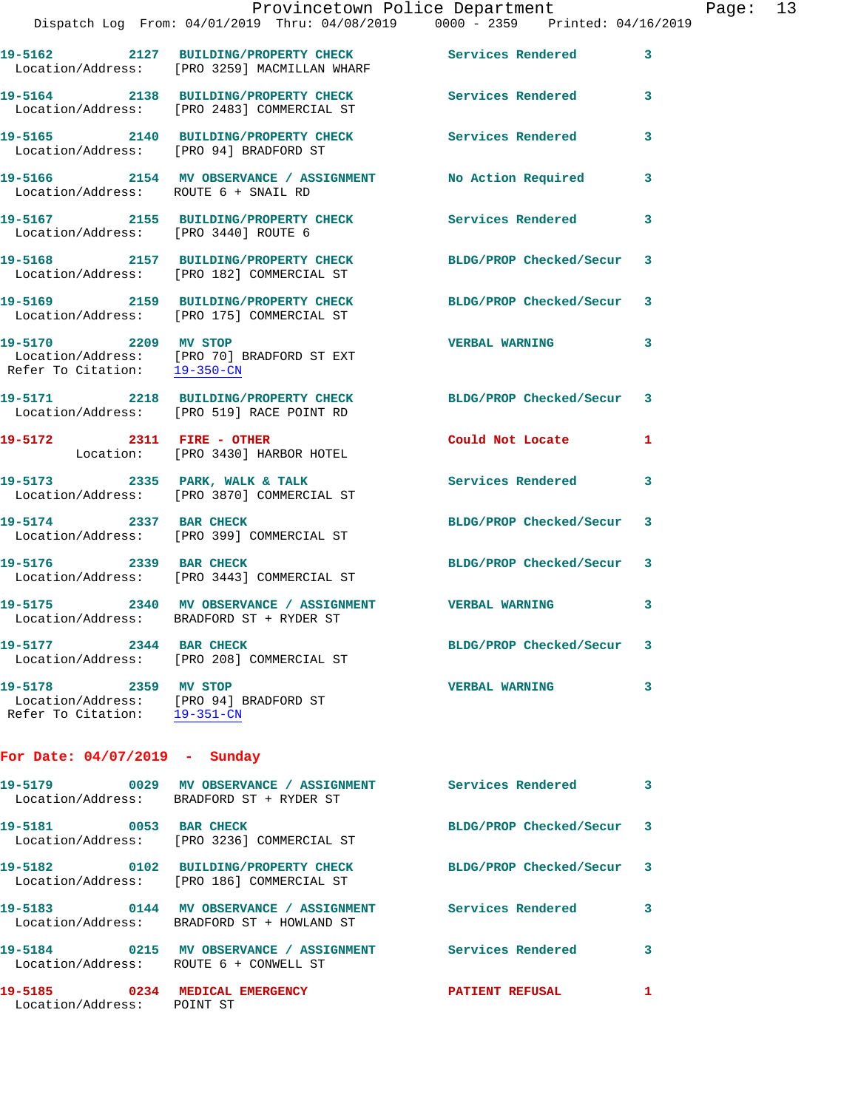|                                                      | Provincetown Police Department<br>Dispatch Log From: 04/01/2019 Thru: 04/08/2019 0000 - 2359 Printed: 04/16/2019 |                           |   |
|------------------------------------------------------|------------------------------------------------------------------------------------------------------------------|---------------------------|---|
|                                                      |                                                                                                                  |                           | 3 |
|                                                      | 19-5164 2138 BUILDING/PROPERTY CHECK Services Rendered<br>Location/Address: [PRO 2483] COMMERCIAL ST             |                           | 3 |
| Location/Address: [PRO 94] BRADFORD ST               | 19-5165 2140 BUILDING/PROPERTY CHECK Services Rendered                                                           |                           | 3 |
| Location/Address: ROUTE 6 + SNAIL RD                 | 19-5166 2154 MV OBSERVANCE / ASSIGNMENT No Action Required                                                       |                           | 3 |
| Location/Address: [PRO 3440] ROUTE 6                 | 19-5167 2155 BUILDING/PROPERTY CHECK Services Rendered                                                           |                           | 3 |
|                                                      | 19-5168 2157 BUILDING/PROPERTY CHECK BLDG/PROP Checked/Secur<br>Location/Address: [PRO 182] COMMERCIAL ST        |                           | 3 |
|                                                      | 19-5169 2159 BUILDING/PROPERTY CHECK BLDG/PROP Checked/Secur<br>Location/Address: [PRO 175] COMMERCIAL ST        |                           | 3 |
| 19-5170 2209 MV STOP<br>Refer To Citation: 19-350-CN | Location/Address: [PRO 70] BRADFORD ST EXT                                                                       | <b>VERBAL WARNING</b>     | 3 |
|                                                      | 19-5171 2218 BUILDING/PROPERTY CHECK BLDG/PROP Checked/Secur<br>Location/Address: [PRO 519] RACE POINT RD        |                           | 3 |
| 19-5172 2311 FIRE - OTHER                            | Location: [PRO 3430] HARBOR HOTEL                                                                                | Could Not Locate          | 1 |
|                                                      | 19-5173 2335 PARK, WALK & TALK<br>Location/Address: [PRO 3870] COMMERCIAL ST                                     | Services Rendered         | 3 |
|                                                      | 19-5174 2337 BAR CHECK<br>Location/Address: [PRO 399] COMMERCIAL ST                                              | BLDG/PROP Checked/Secur 3 |   |

**19-5176 2339 BAR CHECK BLDG/PROP Checked/Secur 3**  Location/Address: [PRO 3443] COMMERCIAL ST

**19-5175 2340 MV OBSERVANCE / ASSIGNMENT VERBAL WARNING 3**  Location/Address: BRADFORD ST + RYDER ST

**19-5177 2344 BAR CHECK BLDG/PROP Checked/Secur 3**  Location/Address: [PRO 208] COMMERCIAL ST

**19-5178 2359 MV STOP VERBAL WARNING 3**  Location/Address: [PRO 94] BRADFORD ST Refer To Citation: 19-351-CN

**For Date: 04/07/2019 - Sunday**

| 19-5179<br>0029                      | MV OBSERVANCE / ASSIGNMENT<br>Location/Address: BRADFORD ST + RYDER ST   | Services Rendered       | 3                          |
|--------------------------------------|--------------------------------------------------------------------------|-------------------------|----------------------------|
| 19-5181 0053<br>Location/Address:    | <b>BAR CHECK</b><br>[PRO 3236] COMMERCIAL ST                             | BLDG/PROP Checked/Secur | $\overline{\mathbf{3}}$    |
| 0102<br>19–5182<br>Location/Address: | BUILDING/PROPERTY CHECK<br>[PRO 186] COMMERCIAL ST                       | BLDG/PROP Checked/Secur | $\overline{\phantom{a}}$ 3 |
| 0144<br>19-5183                      | MV OBSERVANCE / ASSIGNMENT<br>Location/Address: BRADFORD ST + HOWLAND ST | Services Rendered       | 3                          |
| 0215<br>19-5184<br>Location/Address: | MV OBSERVANCE / ASSIGNMENT<br>ROUTE 6 + CONWELL ST                       | Services Rendered       | 3                          |
| 19-5185<br>0234<br>Location/Address: | MEDICAL EMERGENCY<br>POINT ST                                            | <b>PATIENT REFUSAL</b>  | 1                          |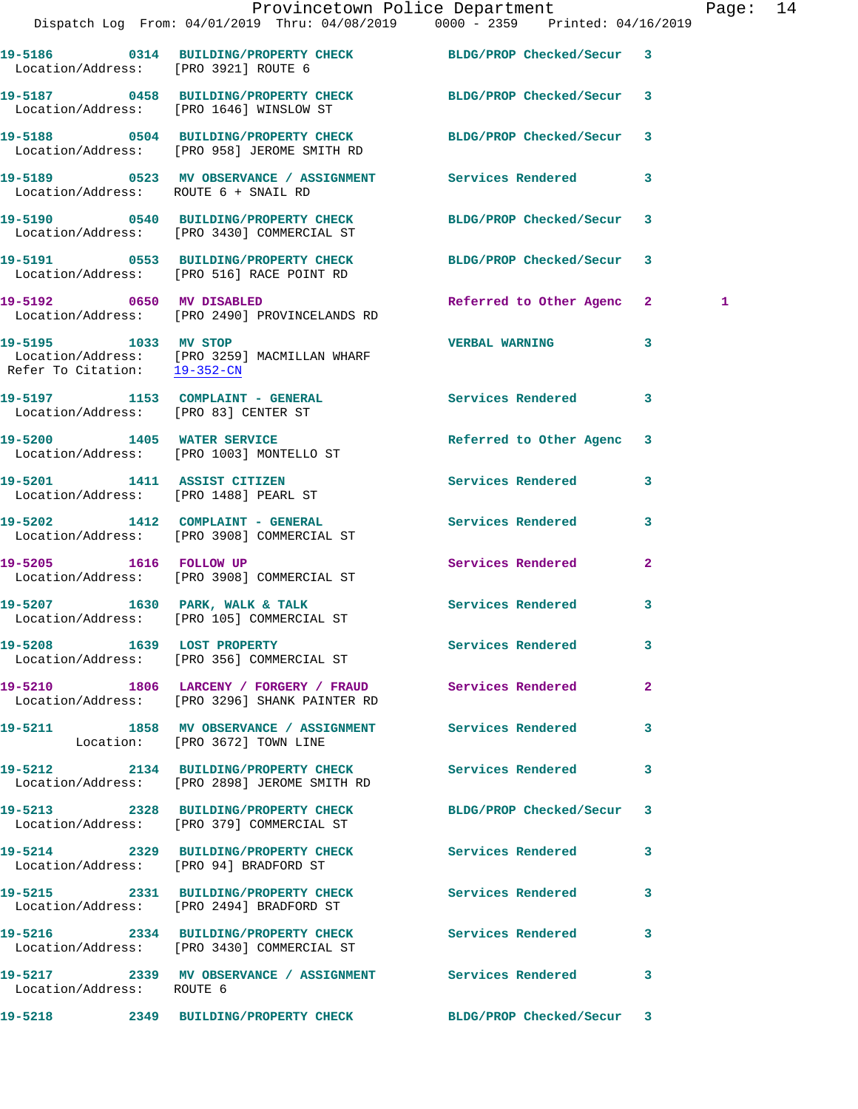|                                                      | Provincetown Police Department Page: 14<br>Dispatch Log From: 04/01/2019 Thru: 04/08/2019 0000 - 2359 Printed: 04/16/2019 |                           |              |   |  |
|------------------------------------------------------|---------------------------------------------------------------------------------------------------------------------------|---------------------------|--------------|---|--|
| Location/Address: [PRO 3921] ROUTE 6                 | 19-5186 0314 BUILDING/PROPERTY CHECK BLDG/PROP Checked/Secur 3                                                            |                           |              |   |  |
|                                                      | 19-5187 0458 BUILDING/PROPERTY CHECK BLDG/PROP Checked/Secur 3<br>Location/Address: [PRO 1646] WINSLOW ST                 |                           |              |   |  |
|                                                      | 19-5188 0504 BUILDING/PROPERTY CHECK BLDG/PROP Checked/Secur 3<br>Location/Address: [PRO 958] JEROME SMITH RD             |                           |              |   |  |
| Location/Address: ROUTE 6 + SNAIL RD                 | 19-5189 		 0523 MV OBSERVANCE / ASSIGNMENT Services Rendered 3                                                            |                           |              |   |  |
|                                                      | 19-5190 0540 BUILDING/PROPERTY CHECK BLDG/PROP Checked/Secur 3<br>Location/Address: [PRO 3430] COMMERCIAL ST              |                           |              |   |  |
|                                                      |                                                                                                                           |                           |              |   |  |
|                                                      | 19-5192 0650 MV DISABLED<br>Location/Address: [PRO 2490] PROVINCELANDS RD                                                 | Referred to Other Agenc 2 |              | 1 |  |
| 19-5195 1033 MV STOP<br>Refer To Citation: 19-352-CN | Location/Address: [PRO 3259] MACMILLAN WHARF                                                                              | <b>VERBAL WARNING</b>     | 3            |   |  |
|                                                      | 19-5197 1153 COMPLAINT - GENERAL Services Rendered 3<br>Location/Address: [PRO 83] CENTER ST                              |                           |              |   |  |
|                                                      | 19-5200 1405 WATER SERVICE<br>Location/Address: [PRO 1003] MONTELLO ST                                                    | Referred to Other Agenc 3 |              |   |  |
|                                                      | 19-5201 1411 ASSIST CITIZEN<br>Location/Address: [PRO 1488] PEARL ST                                                      | Services Rendered 3       |              |   |  |
|                                                      | 19-5202 1412 COMPLAINT - GENERAL ST Services Rendered<br>Location/Address: [PRO 3908] COMMERCIAL ST                       |                           | 3            |   |  |
|                                                      | 19-5205 1616 FOLLOW UP<br>Location/Address: [PRO 3908] COMMERCIAL ST                                                      | Services Rendered         | $\mathbf{2}$ |   |  |
|                                                      | 19-5207 1630 PARK, WALK & TALK<br>Location/Address: [PRO 105] COMMERCIAL ST                                               | Services Rendered 3       |              |   |  |
|                                                      | 19-5208 1639 LOST PROPERTY<br>Location/Address: [PRO 356] COMMERCIAL ST                                                   | Services Rendered 3       |              |   |  |
|                                                      | 19-5210 1806 LARCENY / FORGERY / FRAUD Services Rendered 2<br>Location/Address: [PRO 3296] SHANK PAINTER RD               |                           |              |   |  |
|                                                      | 19-5211 1858 MV OBSERVANCE / ASSIGNMENT Services Rendered 3<br>Location: [PRO 3672] TOWN LINE                             |                           |              |   |  |
|                                                      | 19-5212 2134 BUILDING/PROPERTY CHECK Services Rendered 3<br>Location/Address: [PRO 2898] JEROME SMITH RD                  |                           |              |   |  |
|                                                      | 19-5213 2328 BUILDING/PROPERTY CHECK BLDG/PROP Checked/Secur 3<br>Location/Address: [PRO 379] COMMERCIAL ST               |                           |              |   |  |
|                                                      | 19-5214 2329 BUILDING/PROPERTY CHECK Services Rendered 3<br>Location/Address: [PRO 94] BRADFORD ST                        |                           |              |   |  |
|                                                      | 19-5215 2331 BUILDING/PROPERTY CHECK Services Rendered 3<br>Location/Address: [PRO 2494] BRADFORD ST                      |                           |              |   |  |
|                                                      | 19-5216 2334 BUILDING/PROPERTY CHECK Services Rendered 3<br>Location/Address: [PRO 3430] COMMERCIAL ST                    |                           |              |   |  |
| Location/Address: ROUTE 6                            | 19-5217 2339 MV OBSERVANCE / ASSIGNMENT Services Rendered 3                                                               |                           |              |   |  |
| 19-5218                                              | 2349 BUILDING/PROPERTY CHECK                                                                                              | BLDG/PROP Checked/Secur 3 |              |   |  |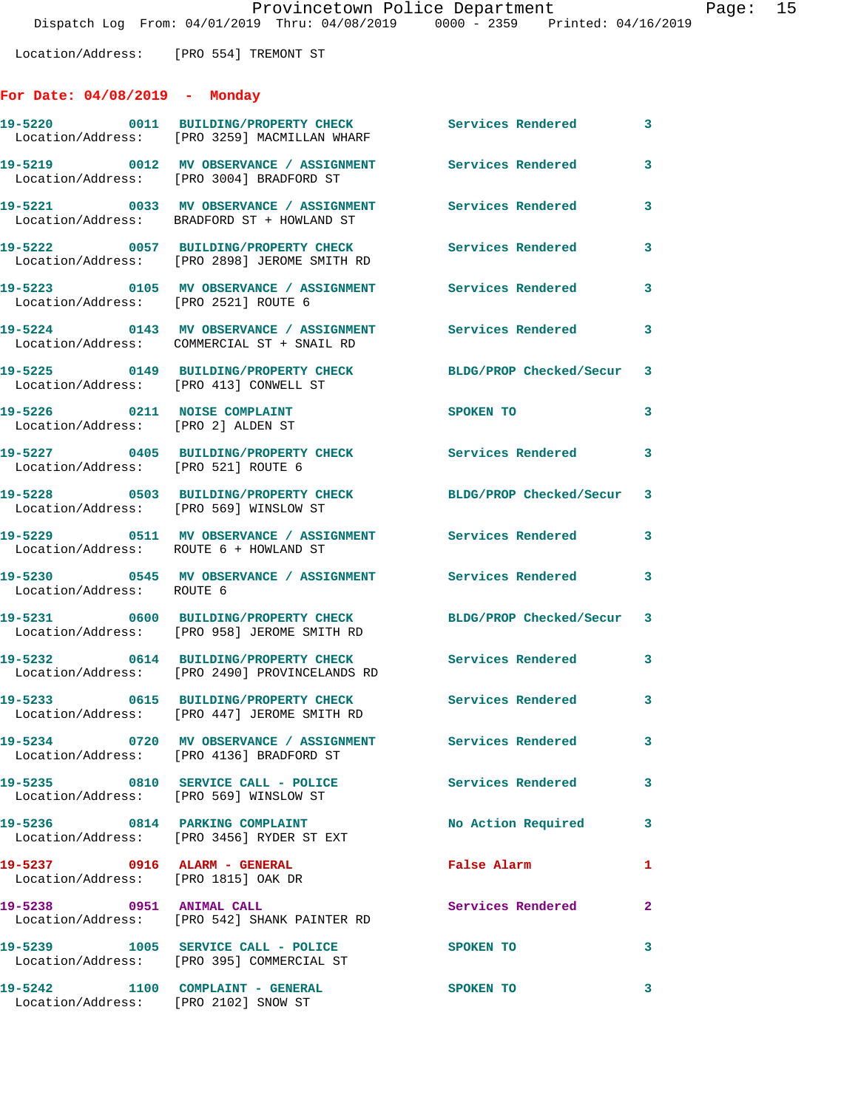Location/Address: [PRO 554] TREMONT ST

## **For Date: 04/08/2019 - Monday**

|                                                                          | 19-5220 0011 BUILDING/PROPERTY CHECK<br>Location/Address: [PRO 3259] MACMILLAN WHARF                    | Services Rendered         | $\mathbf{3}$            |
|--------------------------------------------------------------------------|---------------------------------------------------------------------------------------------------------|---------------------------|-------------------------|
|                                                                          | 19-5219 0012 MV OBSERVANCE / ASSIGNMENT<br>Location/Address: [PRO 3004] BRADFORD ST                     | Services Rendered         | 3                       |
|                                                                          | 19-5221 0033 MV OBSERVANCE / ASSIGNMENT Services Rendered<br>Location/Address: BRADFORD ST + HOWLAND ST |                           | $\mathbf{3}$            |
|                                                                          | Location/Address: [PRO 2898] JEROME SMITH RD                                                            | Services Rendered         | 3                       |
| Location/Address: [PRO 2521] ROUTE 6                                     |                                                                                                         |                           | 3                       |
|                                                                          | 19-5224 0143 MV OBSERVANCE / ASSIGNMENT Services Rendered<br>Location/Address: COMMERCIAL ST + SNAIL RD |                           | $\overline{\mathbf{3}}$ |
| Location/Address: [PRO 413] CONWELL ST                                   | 19-5225 0149 BUILDING/PROPERTY CHECK                                                                    | BLDG/PROP Checked/Secur 3 |                         |
| 19-5226 0211 NOISE COMPLAINT<br>Location/Address: [PRO 2] ALDEN ST       |                                                                                                         | SPOKEN TO                 | $\mathbf{3}$            |
| Location/Address: [PRO 521] ROUTE 6                                      | 19-5227 0405 BUILDING/PROPERTY CHECK Services Rendered                                                  |                           | $\mathbf{3}$            |
| Location/Address: [PRO 569] WINSLOW ST                                   | 19-5228 0503 BUILDING/PROPERTY CHECK BLDG/PROP Checked/Secur 3                                          |                           |                         |
|                                                                          | 19-5229 0511 MV OBSERVANCE / ASSIGNMENT Services Rendered<br>Location/Address: ROUTE 6 + HOWLAND ST     |                           | $\mathbf{3}$            |
| Location/Address: ROUTE 6                                                | 19-5230 0545 MV OBSERVANCE / ASSIGNMENT Services Rendered 3                                             |                           |                         |
|                                                                          | 19-5231 0600 BUILDING/PROPERTY CHECK<br>Location/Address: [PRO 958] JEROME SMITH RD                     | BLDG/PROP Checked/Secur 3 |                         |
|                                                                          | 19-5232 0614 BUILDING/PROPERTY CHECK<br>Location/Address: [PRO 2490] PROVINCELANDS RD                   | Services Rendered         | $\mathbf{3}$            |
|                                                                          | 19-5233 0615 BUILDING/PROPERTY CHECK<br>Location/Address: [PRO 447] JEROME SMITH RD                     | Services Rendered 3       |                         |
|                                                                          | 19-5234 0720 MV OBSERVANCE / ASSIGNMENT Services Rendered<br>Location/Address: [PRO 4136] BRADFORD ST   |                           |                         |
| Location/Address: [PRO 569] WINSLOW ST                                   | 19-5235 0810 SERVICE CALL - POLICE                                                                      | <b>Services Rendered</b>  | $\mathbf{3}$            |
|                                                                          | 19-5236 0814 PARKING COMPLAINT<br>Location/Address: [PRO 3456] RYDER ST EXT                             | No Action Required 3      |                         |
| 19-5237 0916 ALARM - GENERAL<br>Location/Address: [PRO 1815] OAK DR      |                                                                                                         | <b>False Alarm</b>        | 1                       |
| 19-5238 0951 ANIMAL CALL                                                 | Location/Address: [PRO 542] SHANK PAINTER RD                                                            | Services Rendered         | $\overline{2}$          |
|                                                                          | 19-5239 1005 SERVICE CALL - POLICE<br>Location/Address: [PRO 395] COMMERCIAL ST                         | SPOKEN TO                 | 3                       |
| 19-5242 1100 COMPLAINT - GENERAL<br>Location/Address: [PRO 2102] SNOW ST |                                                                                                         | SPOKEN TO                 | 3                       |